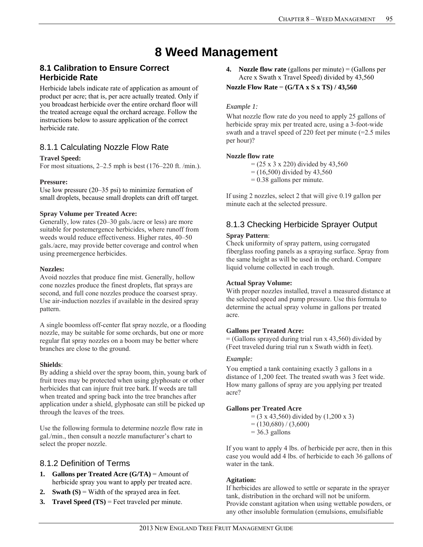# **8 Weed Management**

### **8.1 Calibration to Ensure Correct Herbicide Rate**

Herbicide labels indicate rate of application as amount of product per acre; that is, per acre actually treated. Only if you broadcast herbicide over the entire orchard floor will the treated acreage equal the orchard acreage. Follow the instructions below to assure application of the correct herbicide rate.

### 8.1.1 Calculating Nozzle Flow Rate

#### **Travel Speed:**

For most situations, 2–2.5 mph is best (176–220 ft. /min.).

#### **Pressure:**

Use low pressure (20–35 psi) to minimize formation of small droplets, because small droplets can drift off target.

#### **Spray Volume per Treated Acre:**

Generally, low rates (20–30 gals./acre or less) are more suitable for postemergence herbicides, where runoff from weeds would reduce effectiveness. Higher rates, 40–50 gals./acre, may provide better coverage and control when using preemergence herbicides.

#### **Nozzles:**

Avoid nozzles that produce fine mist. Generally, hollow cone nozzles produce the finest droplets, flat sprays are second, and full cone nozzles produce the coarsest spray. Use air-induction nozzles if available in the desired spray pattern.

A single boomless off-center flat spray nozzle, or a flooding nozzle, may be suitable for some orchards, but one or more regular flat spray nozzles on a boom may be better where branches are close to the ground.

#### **Shields**:

By adding a shield over the spray boom, thin, young bark of fruit trees may be protected when using glyphosate or other herbicides that can injure fruit tree bark. If weeds are tall when treated and spring back into the tree branches after application under a shield, glyphosate can still be picked up through the leaves of the trees.

Use the following formula to determine nozzle flow rate in gal./min., then consult a nozzle manufacturer's chart to select the proper nozzle.

### 8.1.2 Definition of Terms

- **1. Gallons per Treated Acre (G/TA)**  $=$  Amount of herbicide spray you want to apply per treated acre.
- **2. Swath (S)**  $=$  Width of the sprayed area in feet.
- **3. Travel Speed (TS)** = Feet traveled per minute.

**4. Nozzle flow rate** (gallons per minute) = (Gallons per Acre x Swath x Travel Speed) divided by 43,560

#### **Nozzle Flow Rate** = **(G/TA x S x TS) / 43,560**

#### *Example 1:*

What nozzle flow rate do you need to apply 25 gallons of herbicide spray mix per treated acre, using a 3-foot-wide swath and a travel speed of 220 feet per minute (=2.5 miles per hour)?

#### **Nozzle flow rate**

 $= (25 \times 3 \times 220)$  divided by 43,560

 $= (16,500)$  divided by 43,560

 $= 0.38$  gallons per minute.

If using 2 nozzles, select 2 that will give 0.19 gallon per minute each at the selected pressure.

# 8.1.3 Checking Herbicide Sprayer Output

#### **Spray Pattern**:

Check uniformity of spray pattern, using corrugated fiberglass roofing panels as a spraying surface. Spray from the same height as will be used in the orchard. Compare liquid volume collected in each trough.

#### **Actual Spray Volume:**

With proper nozzles installed, travel a measured distance at the selected speed and pump pressure. Use this formula to determine the actual spray volume in gallons per treated acre.

#### **Gallons per Treated Acre:**

 $=$  (Gallons sprayed during trial run x 43,560) divided by (Feet traveled during trial run x Swath width in feet).

#### *Example:*

You emptied a tank containing exactly 3 gallons in a distance of 1,200 feet. The treated swath was 3 feet wide. How many gallons of spray are you applying per treated acre?

#### **Gallons per Treated Acre**

 $= (3 \times 43,560)$  divided by  $(1,200 \times 3)$ 

 $= (130,680) / (3,600)$ 

 $= 36.3$  gallons

If you want to apply 4 lbs. of herbicide per acre, then in this case you would add 4 lbs. of herbicide to each 36 gallons of water in the tank.

#### **Agitation:**

If herbicides are allowed to settle or separate in the sprayer tank, distribution in the orchard will not be uniform. Provide constant agitation when using wettable powders, or any other insoluble formulation (emulsions, emulsifiable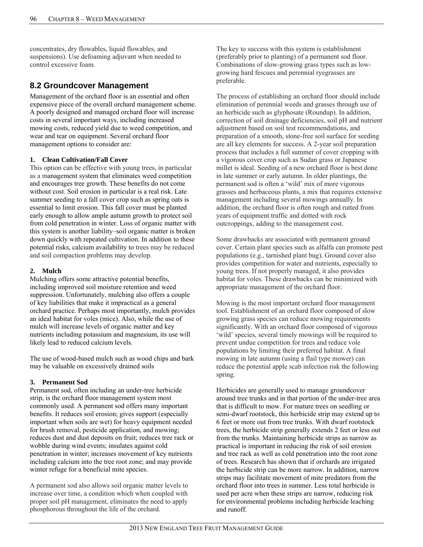concentrates, dry flowables, liquid flowables, and suspensions). Use defoaming adjuvant when needed to control excessive foam.

### **8.2 Groundcover Management**

Management of the orchard floor is an essential and often expensive piece of the overall orchard management scheme. A poorly designed and managed orchard floor will increase costs in several important ways, including increased mowing costs, reduced yield due to weed competition, and wear and tear on equipment. Several orchard floor management options to consider are:

#### **1. Clean Cultivation/Fall Cover**

This option can be effective with young trees, in particular as a management system that eliminates weed competition and encourages tree growth. These benefits do not come without cost. Soil erosion in particular is a real risk. Late summer seeding to a fall cover crop such as spring oats is essential to limit erosion. This fall cover must be planted early enough to allow ample autumn growth to protect soil from cold penetration in winter. Loss of organic matter with this system is another liability–soil organic matter is broken down quickly with repeated cultivation. In addition to these potential risks, calcium availability to trees may be reduced and soil compaction problems may develop.

#### **2. Mulch**

Mulching offers some attractive potential benefits, including improved soil moisture retention and weed suppression. Unfortunately, mulching also offers a couple of key liabilities that make it impractical as a general orchard practice. Perhaps most importantly, mulch provides an ideal habitat for voles (mice). Also, while the use of mulch will increase levels of organic matter and key nutrients including potassium and magnesium, its use will likely lead to reduced calcium levels.

The use of wood-based mulch such as wood chips and bark may be valuable on excessively drained soils

#### **3. Permanent Sod**

Permanent sod, often including an under-tree herbicide strip, is the orchard floor management system most commonly used. A permanent sod offers many important benefits. It reduces soil erosion; gives support (especially important when soils are wet) for heavy equipment needed for brush removal, pesticide application, and mowing; reduces dust and dust deposits on fruit; reduces tree rack or wobble during wind events; insulates against cold penetration in winter; increases movement of key nutrients including calcium into the tree root zone; and may provide winter refuge for a beneficial mite species.

A permanent sod also allows soil organic matter levels to increase over time, a condition which when coupled with proper soil pH management, eliminates the need to apply phosphorous throughout the life of the orchard.

The key to success with this system is establishment (preferably prior to planting) of a permanent sod floor. Combinations of slow-growing grass types such as lowgrowing hard fescues and perennial ryegrasses are preferable.

The process of establishing an orchard floor should include elimination of perennial weeds and grasses through use of an herbicide such as glyphosate (Roundup). In addition, correction of soil drainage deficiencies, soil pH and nutrient adjustment based on soil test recommendations, and preparation of a smooth, stone-free soil surface for seeding are all key elements for success. A 2-year soil preparation process that includes a full summer of cover cropping with a vigorous cover crop such as Sudan grass or Japanese millet is ideal. Seeding of a new orchard floor is best done in late summer or early autumn. In older plantings, the permanent sod is often a 'wild' mix of more vigorous grasses and herbaceous plants, a mix that requires extensive management including several mowings annually. In addition, the orchard floor is often rough and rutted from years of equipment traffic and dotted with rock outcroppings, adding to the management cost.

Some drawbacks are associated with permanent ground cover. Certain plant species such as alfalfa can promote pest populations (e.g., tarnished plant bug). Ground cover also provides competition for water and nutrients, especially to young trees. If not properly managed, it also provides habitat for voles. These drawbacks can be minimized with appropriate management of the orchard floor.

Mowing is the most important orchard floor management tool. Establishment of an orchard floor composed of slow growing grass species can reduce mowing requirements significantly. With an orchard floor composed of vigorous 'wild' species, several timely mowings will be required to prevent undue competition for trees and reduce vole populations by limiting their preferred habitat. A final mowing in late autumn (using a flail type mower) can reduce the potential apple scab infection risk the following spring.

Herbicides are generally used to manage groundcover around tree trunks and in that portion of the under-tree area that is difficult to mow. For mature trees on seedling or semi-dwarf rootstock, this herbicide strip may extend up to 6 feet or more out from tree trunks. With dwarf rootstock trees, the herbicide strip generally extends 2 feet or less out from the trunks. Maintaining herbicide strips as narrow as practical is important in reducing the risk of soil erosion and tree rack as well as cold penetration into the root zone of trees. Research has shown that if orchards are irrigated the herbicide strip can be more narrow. In addition, narrow strips may facilitate movement of mite predators from the orchard floor into trees in summer. Less total herbicide is used per acre when these strips are narrow, reducing risk for environmental problems including herbicide leaching and runoff.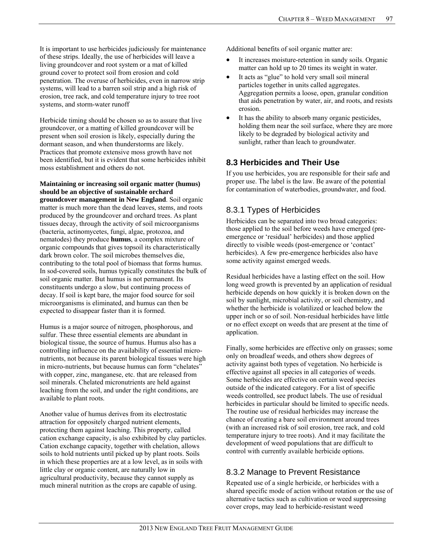It is important to use herbicides judiciously for maintenance of these strips. Ideally, the use of herbicides will leave a living groundcover and root system or a mat of killed ground cover to protect soil from erosion and cold penetration. The overuse of herbicides, even in narrow strip systems, will lead to a barren soil strip and a high risk of erosion, tree rack, and cold temperature injury to tree root systems, and storm-water runoff

Herbicide timing should be chosen so as to assure that live groundcover, or a matting of killed groundcover will be present when soil erosion is likely, especially during the dormant season, and when thunderstorms are likely. Practices that promote extensive moss growth have not been identified, but it is evident that some herbicides inhibit moss establishment and others do not.

**Maintaining or increasing soil organic matter (humus) should be an objective of sustainable orchard groundcover management in New England**. Soil organic matter is much more than the dead leaves, stems, and roots produced by the groundcover and orchard trees. As plant tissues decay, through the activity of soil microorganisms (bacteria, actinomycetes, fungi, algae, protozoa, and nematodes) they produce **humus**, a complex mixture of organic compounds that gives topsoil its characteristically dark brown color. The soil microbes themselves die, contributing to the total pool of biomass that forms humus. In sod-covered soils, humus typically constitutes the bulk of soil organic matter. But humus is not permanent. Its constituents undergo a slow, but continuing process of decay. If soil is kept bare, the major food source for soil microorganisms is eliminated, and humus can then be expected to disappear faster than it is formed.

Humus is a major source of nitrogen, phosphorous, and sulfur. These three essential elements are abundant in biological tissue, the source of humus. Humus also has a controlling influence on the availability of essential micronutrients, not because its parent biological tissues were high in micro-nutrients, but because humus can form "chelates" with copper, zinc, manganese, etc. that are released from soil minerals. Chelated micronutrients are held against leaching from the soil, and under the right conditions, are available to plant roots.

Another value of humus derives from its electrostatic attraction for oppositely charged nutrient elements, protecting them against leaching. This property, called cation exchange capacity, is also exhibited by clay particles. Cation exchange capacity, together with chelation, allows soils to hold nutrients until picked up by plant roots. Soils in which these properties are at a low level, as in soils with little clay or organic content, are naturally low in agricultural productivity, because they cannot supply as much mineral nutrition as the crops are capable of using.

Additional benefits of soil organic matter are:

- It increases moisture-retention in sandy soils. Organic matter can hold up to 20 times its weight in water.
- It acts as "glue" to hold very small soil mineral particles together in units called aggregates. Aggregation permits a loose, open, granular condition that aids penetration by water, air, and roots, and resists erosion.
- It has the ability to absorb many organic pesticides, holding them near the soil surface, where they are more likely to be degraded by biological activity and sunlight, rather than leach to groundwater.

### **8.3 Herbicides and Their Use**

If you use herbicides, you are responsible for their safe and proper use. The label is the law. Be aware of the potential for contamination of waterbodies, groundwater, and food.

### 8.3.1 Types of Herbicides

Herbicides can be separated into two broad categories: those applied to the soil before weeds have emerged (preemergence or 'residual' herbicides) and those applied directly to visible weeds (post-emergence or 'contact' herbicides). A few pre-emergence herbicides also have some activity against emerged weeds.

Residual herbicides have a lasting effect on the soil. How long weed growth is prevented by an application of residual herbicide depends on how quickly it is broken down on the soil by sunlight, microbial activity, or soil chemistry, and whether the herbicide is volatilized or leached below the upper inch or so of soil. Non-residual herbicides have little or no effect except on weeds that are present at the time of application.

Finally, some herbicides are effective only on grasses; some only on broadleaf weeds, and others show degrees of activity against both types of vegetation. No herbicide is effective against all species in all categories of weeds. Some herbicides are effective on certain weed species outside of the indicated category. For a list of specific weeds controlled, see product labels. The use of residual herbicides in particular should be limited to specific needs. The routine use of residual herbicides may increase the chance of creating a bare soil environment around trees (with an increased risk of soil erosion, tree rack, and cold temperature injury to tree roots). And it may facilitate the development of weed populations that are difficult to control with currently available herbicide options.

# 8.3.2 Manage to Prevent Resistance

Repeated use of a single herbicide, or herbicides with a shared specific mode of action without rotation or the use of alternative tactics such as cultivation or weed suppressing cover crops, may lead to herbicide-resistant weed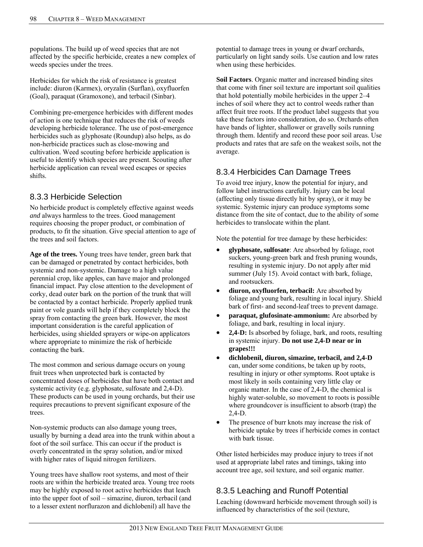populations. The build up of weed species that are not affected by the specific herbicide, creates a new complex of weeds species under the trees.

Herbicides for which the risk of resistance is greatest include: diuron (Karmex), oryzalin (Surflan), oxyfluorfen (Goal), paraquat (Gramoxone), and terbacil (Sinbar).

Combining pre-emergence herbicides with different modes of action is one technique that reduces the risk of weeds developing herbicide tolerance. The use of post-emergence herbicides such as glyphosate (Roundup) also helps, as do non-herbicide practices such as close-mowing and cultivation. Weed scouting before herbicide application is useful to identify which species are present. Scouting after herbicide application can reveal weed escapes or species shifts.

### 8.3.3 Herbicide Selection

No herbicide product is completely effective against weeds *and* always harmless to the trees. Good management requires choosing the proper product, or combination of products, to fit the situation. Give special attention to age of the trees and soil factors.

**Age of the trees.** Young trees have tender, green bark that can be damaged or penetrated by contact herbicides, both systemic and non-systemic. Damage to a high value perennial crop, like apples, can have major and prolonged financial impact. Pay close attention to the development of corky, dead outer bark on the portion of the trunk that will be contacted by a contact herbicide. Properly applied trunk paint or vole guards will help if they completely block the spray from contacting the green bark. However, the most important consideration is the careful application of herbicides, using shielded sprayers or wipe-on applicators where appropriate to minimize the risk of herbicide contacting the bark.

The most common and serious damage occurs on young fruit trees when unprotected bark is contacted by concentrated doses of herbicides that have both contact and systemic activity (e.g. glyphosate, sulfosate and 2,4-D). These products can be used in young orchards, but their use requires precautions to prevent significant exposure of the trees.

Non-systemic products can also damage young trees, usually by burning a dead area into the trunk within about a foot of the soil surface. This can occur if the product is overly concentrated in the spray solution, and/or mixed with higher rates of liquid nitrogen fertilizers.

Young trees have shallow root systems, and most of their roots are within the herbicide treated area. Young tree roots may be highly exposed to root active herbicides that leach into the upper foot of soil – simazine, diuron, terbacil (and to a lesser extent norflurazon and dichlobenil) all have the

potential to damage trees in young or dwarf orchards, particularly on light sandy soils. Use caution and low rates when using these herbicides.

**Soil Factors**. Organic matter and increased binding sites that come with finer soil texture are important soil qualities that hold potentially mobile herbicides in the upper 2–4 inches of soil where they act to control weeds rather than affect fruit tree roots. If the product label suggests that you take these factors into consideration, do so. Orchards often have bands of lighter, shallower or gravelly soils running through them. Identify and record these poor soil areas. Use products and rates that are safe on the weakest soils, not the average.

# 8.3.4 Herbicides Can Damage Trees

To avoid tree injury, know the potential for injury, and follow label instructions carefully. Injury can be local (affecting only tissue directly hit by spray), or it may be systemic. Systemic injury can produce symptoms some distance from the site of contact, due to the ability of some herbicides to translocate within the plant.

Note the potential for tree damage by these herbicides:

- **glyphosate, sulfosate**: Are absorbed by foliage, root suckers, young-green bark and fresh pruning wounds, resulting in systemic injury. Do not apply after mid summer (July 15). Avoid contact with bark, foliage, and rootsuckers.
- **diuron, oxyfluorfen, terbacil:** Are absorbed by foliage and young bark, resulting in local injury. Shield bark of first- and second-leaf trees to prevent damage.
- **paraquat, glufosinate-ammonium:** Are absorbed by foliage, and bark, resulting in local injury.
- **2,4-D:** Is absorbed by foliage, bark, and roots, resulting in systemic injury. **Do not use 2,4-D near or in grapes!!!**
- **dichlobenil, diuron, simazine, terbacil, and 2,4-D** can, under some conditions, be taken up by roots, resulting in injury or other symptoms. Root uptake is most likely in soils containing very little clay or organic matter. In the case of 2,4-D, the chemical is highly water-soluble, so movement to roots is possible where groundcover is insufficient to absorb (trap) the 2,4-D.
- The presence of burr knots may increase the risk of herbicide uptake by trees if herbicide comes in contact with bark tissue.

Other listed herbicides may produce injury to trees if not used at appropriate label rates and timings, taking into account tree age, soil texture, and soil organic matter.

# 8.3.5 Leaching and Runoff Potential

Leaching (downward herbicide movement through soil) is influenced by characteristics of the soil (texture,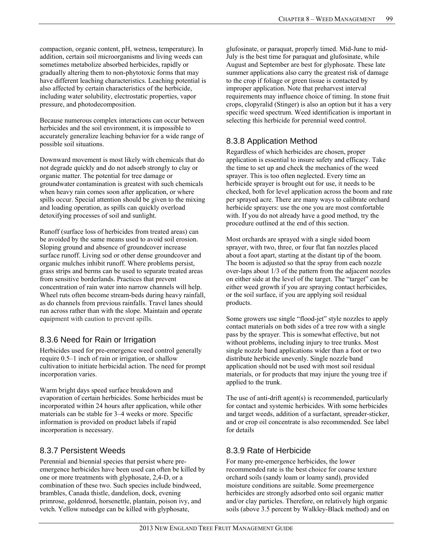compaction, organic content, pH, wetness, temperature). In addition, certain soil microorganisms and living weeds can sometimes metabolize absorbed herbicides, rapidly or gradually altering them to non-phytotoxic forms that may have different leaching characteristics. Leaching potential is also affected by certain characteristics of the herbicide, including water solubility, electrostatic properties, vapor pressure, and photodecomposition.

Because numerous complex interactions can occur between herbicides and the soil environment, it is impossible to accurately generalize leaching behavior for a wide range of possible soil situations.

Downward movement is most likely with chemicals that do not degrade quickly and do not adsorb strongly to clay or organic matter. The potential for tree damage or groundwater contamination is greatest with such chemicals when heavy rain comes soon after application, or where spills occur. Special attention should be given to the mixing and loading operation, as spills can quickly overload detoxifying processes of soil and sunlight.

Runoff (surface loss of herbicides from treated areas) can be avoided by the same means used to avoid soil erosion. Sloping ground and absence of groundcover increase surface runoff. Living sod or other dense groundcover and organic mulches inhibit runoff. Where problems persist, grass strips and berms can be used to separate treated areas from sensitive borderlands. Practices that prevent concentration of rain water into narrow channels will help. Wheel ruts often become stream-beds during heavy rainfall, as do channels from previous rainfalls. Travel lanes should run across rather than with the slope. Maintain and operate equipment with caution to prevent spills.

# 8.3.6 Need for Rain or Irrigation

Herbicides used for pre-emergence weed control generally require 0.5–1 inch of rain or irrigation, or shallow cultivation to initiate herbicidal action. The need for prompt incorporation varies.

Warm bright days speed surface breakdown and evaporation of certain herbicides. Some herbicides must be incorporated within 24 hours after application, while other materials can be stable for 3–4 weeks or more. Specific information is provided on product labels if rapid incorporation is necessary.

### 8.3.7 Persistent Weeds

Perennial and biennial species that persist where preemergence herbicides have been used can often be killed by one or more treatments with glyphosate, 2,4-D, or a combination of these two. Such species include bindweed, brambles, Canada thistle, dandelion, dock, evening primrose, goldenrod, horsenettle, plantain, poison ivy, and vetch. Yellow nutsedge can be killed with glyphosate,

glufosinate, or paraquat, properly timed. Mid-June to mid-July is the best time for paraquat and glufosinate, while August and September are best for glyphosate. These late summer applications also carry the greatest risk of damage to the crop if foliage or green tissue is contacted by improper application. Note that preharvest interval requirements may influence choice of timing. In stone fruit crops, clopyralid (Stinger) is also an option but it has a very specific weed spectrum. Weed identification is important in selecting this herbicide for perennial weed control.

# 8.3.8 Application Method

Regardless of which herbicides are chosen, proper application is essential to insure safety and efficacy. Take the time to set up and check the mechanics of the weed sprayer. This is too often neglected. Every time an herbicide sprayer is brought out for use, it needs to be checked, both for level application across the boom and rate per sprayed acre. There are many ways to calibrate orchard herbicide sprayers: use the one you are most comfortable with. If you do not already have a good method, try the procedure outlined at the end of this section.

Most orchards are sprayed with a single sided boom sprayer, with two, three, or four flat fan nozzles placed about a foot apart, starting at the distant tip of the boom. The boom is adjusted so that the spray from each nozzle over-laps about 1/3 of the pattern from the adjacent nozzles on either side at the level of the target. The "target" can be either weed growth if you are spraying contact herbicides, or the soil surface, if you are applying soil residual products.

Some growers use single "flood-jet" style nozzles to apply contact materials on both sides of a tree row with a single pass by the sprayer. This is somewhat effective, but not without problems, including injury to tree trunks. Most single nozzle band applications wider than a foot or two distribute herbicide unevenly. Single nozzle band application should not be used with most soil residual materials, or for products that may injure the young tree if applied to the trunk.

The use of anti-drift agent(s) is recommended, particularly for contact and systemic herbicides. With some herbicides and target weeds, addition of a surfactant, spreader-sticker, and or crop oil concentrate is also recommended. See label for details

### 8.3.9 Rate of Herbicide

For many pre-emergence herbicides, the lower recommended rate is the best choice for coarse texture orchard soils (sandy loam or loamy sand), provided moisture conditions are suitable. Some preemergence herbicides are strongly adsorbed onto soil organic matter and/or clay particles. Therefore, on relatively high organic soils (above 3.5 percent by Walkley-Black method) and on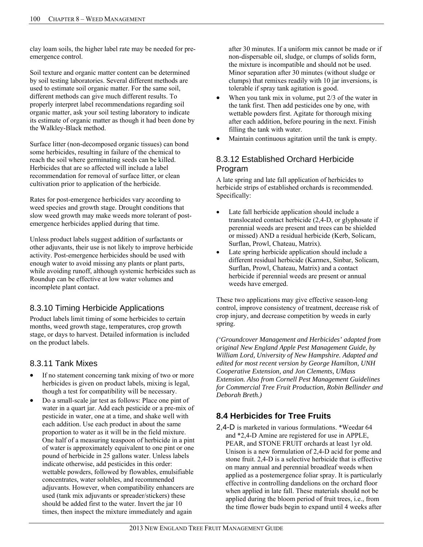clay loam soils, the higher label rate may be needed for preemergence control.

Soil texture and organic matter content can be determined by soil testing laboratories. Several different methods are used to estimate soil organic matter. For the same soil, different methods can give much different results. To properly interpret label recommendations regarding soil organic matter, ask your soil testing laboratory to indicate its estimate of organic matter as though it had been done by the Walkley-Black method.

Surface litter (non-decomposed organic tissues) can bond some herbicides, resulting in failure of the chemical to reach the soil where germinating seeds can be killed. Herbicides that are so affected will include a label recommendation for removal of surface litter, or clean cultivation prior to application of the herbicide.

Rates for post-emergence herbicides vary according to weed species and growth stage. Drought conditions that slow weed growth may make weeds more tolerant of postemergence herbicides applied during that time.

Unless product labels suggest addition of surfactants or other adjuvants, their use is not likely to improve herbicide activity. Post-emergence herbicides should be used with enough water to avoid missing any plants or plant parts, while avoiding runoff, although systemic herbicides such as Roundup can be effective at low water volumes and incomplete plant contact.

# 8.3.10 Timing Herbicide Applications

Product labels limit timing of some herbicides to certain months, weed growth stage, temperatures, crop growth stage, or days to harvest. Detailed information is included on the product labels.

### 8.3.11 Tank Mixes

- If no statement concerning tank mixing of two or more herbicides is given on product labels, mixing is legal, though a test for compatibility will be necessary.
- Do a small-scale jar test as follows: Place one pint of water in a quart jar. Add each pesticide or a pre-mix of pesticide in water, one at a time, and shake well with each addition. Use each product in about the same proportion to water as it will be in the field mixture. One half of a measuring teaspoon of herbicide in a pint of water is approximately equivalent to one pint or one pound of herbicide in 25 gallons water. Unless labels indicate otherwise, add pesticides in this order: wettable powders, followed by flowables, emulsifiable concentrates, water solubles, and recommended adjuvants. However, when compatibility enhancers are used (tank mix adjuvants or spreader/stickers) these should be added first to the water. Invert the jar 10 times, then inspect the mixture immediately and again

after 30 minutes. If a uniform mix cannot be made or if non-dispersable oil, sludge, or clumps of solids form, the mixture is incompatible and should not be used. Minor separation after 30 minutes (without sludge or clumps) that remixes readily with 10 jar inversions, is tolerable if spray tank agitation is good.

- When you tank mix in volume, put 2/3 of the water in the tank first. Then add pesticides one by one, with wettable powders first. Agitate for thorough mixing after each addition, before pouring in the next. Finish filling the tank with water.
- Maintain continuous agitation until the tank is empty.

### 8.3.12 Established Orchard Herbicide Program

A late spring and late fall application of herbicides to herbicide strips of established orchards is recommended. Specifically:

- Late fall herbicide application should include a translocated contact herbicide (2,4-D, or glyphosate if perennial weeds are present and trees can be shielded or missed) AND a residual herbicide (Kerb, Solicam, Surflan, Prowl, Chateau, Matrix).
- Late spring herbicide application should include a different residual herbicide (Karmex, Sinbar, Solicam, Surflan, Prowl, Chateau, Matrix) and a contact herbicide if perennial weeds are present or annual weeds have emerged.

These two applications may give effective season-long control, improve consistency of treatment, decrease risk of crop injury, and decrease competition by weeds in early spring.

*('Groundcover Management and Herbicides' adapted from original New England Apple Pest Management Guide, by William Lord, University of New Hampshire. Adapted and edited for most recent version by George Hamilton, UNH Cooperative Extension, and Jon Clements, UMass Extension. Also from Cornell Pest Management Guidelines for Commercial Tree Fruit Production, Robin Bellinder and Deborah Breth.)* 

# **8.4 Herbicides for Tree Fruits**

2,4-D is marketed in various formulations. \*Weedar 64 and \*2,4-D Amine are registered for use in APPLE, PEAR, and STONE FRUIT orchards at least 1yr old. Unison is a new formulation of 2,4-D acid for pome and stone fruit. 2,4-D is a selective herbicide that is effective on many annual and perennial broadleaf weeds when applied as a postemergence foliar spray. It is particularly effective in controlling dandelions on the orchard floor when applied in late fall. These materials should not be applied during the bloom period of fruit trees, i.e., from the time flower buds begin to expand until 4 weeks after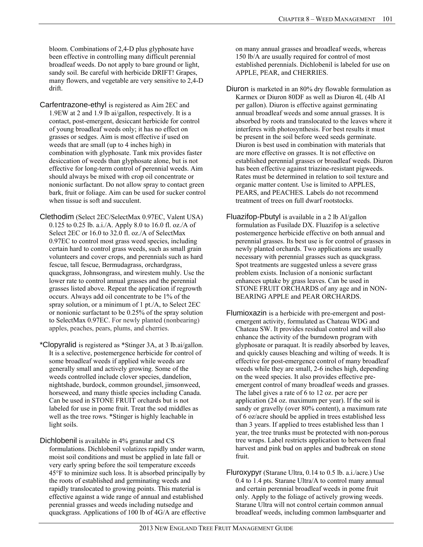bloom. Combinations of 2,4-D plus glyphosate have been effective in controlling many difficult perennial broadleaf weeds. Do not apply to bare ground or light, sandy soil. Be careful with herbicide DRIFT! Grapes, many flowers, and vegetable are very sensitive to 2,4-D drift.

- Carfentrazone-ethyl is registered as Aim 2EC and 1.9EW at 2 and 1.9 lb ai/gallon, respectively. It is a contact, post-emergent, desiccant herbicide for control of young broadleaf weeds only; it has no effect on grasses or sedges. Aim is most effective if used on weeds that are small (up to 4 inches high) in combination with glyphosate. Tank mix provides faster desiccation of weeds than glyphosate alone, but is not effective for long-term control of perennial weeds. Aim should always be mixed with crop oil concentrate or nonionic surfactant. Do not allow spray to contact green bark, fruit or foliage. Aim can be used for sucker control when tissue is soft and succulent.
- Clethodim (Select 2EC/SelectMax 0.97EC, Valent USA) 0.125 to 0.25 lb. a.i./A. Apply 8.0 to 16.0 fl. oz./A of Select 2EC or 16.0 to 32.0 fl. oz./A of SelectMax 0.97EC to control most grass weed species, including certain hard to control grass weeds, such as small grain volunteers and cover crops, and perennials such as hard fescue, tall fescue, Bermudagrass, orchardgrass, quackgrass, Johnsongrass, and wirestem muhly. Use the lower rate to control annual grasses and the perennial grasses listed above. Repeat the application if regrowth occurs. Always add oil concentrate to be 1% of the spray solution, or a minimum of 1 pt./A, to Select 2EC or nonionic surfactant to be 0.25% of the spray solution to SelectMax 0.97EC. For newly planted (nonbearing) apples, peaches, pears, plums, and cherries.
- \*Clopyralid is registered as \*Stinger 3A, at 3 lb.ai/gallon. It is a selective, postemergence herbicide for control of some broadleaf weeds if applied while weeds are generally small and actively growing. Some of the weeds controlled include clover species, dandelion, nightshade, burdock, common groundsel, jimsonweed, horseweed, and many thistle species including Canada. Can be used in STONE FRUIT orchards but is not labeled for use in pome fruit. Treat the sod middles as well as the tree rows. \*Stinger is highly leachable in light soils.
- Dichlobenil is available in 4% granular and CS formulations. Dichlobenil volatizes rapidly under warm, moist soil conditions and must be applied in late fall or very early spring before the soil temperature exceeds 45°F to minimize such loss. It is absorbed principally by the roots of established and germinating weeds and rapidly translocated to growing points. This material is effective against a wide range of annual and established perennial grasses and weeds including nutsedge and quackgrass. Applications of 100 lb of 4G/A are effective

on many annual grasses and broadleaf weeds, whereas 150 lb/A are usually required for control of most established perennials. Dichlobenil is labeled for use on APPLE, PEAR, and CHERRIES.

- Diuron is marketed in an 80% dry flowable formulation as Karmex or Diuron 80DF as well as Diuron 4L (4lb AI per gallon). Diuron is effective against germinating annual broadleaf weeds and some annual grasses. It is absorbed by roots and translocated to the leaves where it interferes with photosynthesis. For best results it must be present in the soil before weed seeds germinate. Diuron is best used in combination with materials that are more effective on grasses. It is not effective on established perennial grasses or broadleaf weeds. Diuron has been effective against triazine-resistant pigweeds. Rates must be determined in relation to soil texture and organic matter content. Use is limited to APPLES, PEARS, and PEACHES. Labels do not recommend treatment of trees on full dwarf rootstocks.
- Fluazifop-Pbutyl is available in a 2 lb AI/gallon formulation as Fusilade DX. Fluazifop is a selective postemergence herbicide effective on both annual and perennial grasses. Its best use is for control of grasses in newly planted orchards. Two applications are usually necessary with perennial grasses such as quackgrass. Spot treatments are suggested unless a severe grass problem exists. Inclusion of a nonionic surfactant enhances uptake by grass leaves. Can be used in STONE FRUIT ORCHARDS of any age and in NON-BEARING APPLE and PEAR ORCHARDS.
- Flumioxazin is a herbicide with pre-emergent and postemergent activity, formulated as Chateau WDG and Chateau SW. It provides residual control and will also enhance the activity of the burndown program with glyphosate or paraquat. It is readily absorbed by leaves, and quickly causes bleaching and wilting of weeds. It is effective for post-emergence control of many broadleaf weeds while they are small, 2-6 inches high, depending on the weed species. It also provides effective preemergent control of many broadleaf weeds and grasses. The label gives a rate of 6 to 12 oz. per acre per application (24 oz. maximum per year). If the soil is sandy or gravelly (over 80% content), a maximum rate of 6 oz/acre should be applied in trees established less than 3 years. If applied to trees established less than 1 year, the tree trunks must be protected with non-porous tree wraps. Label restricts application to between final harvest and pink bud on apples and budbreak on stone fruit.
- Fluroxypyr (Starane Ultra, 0.14 to 0.5 lb. a.i./acre.) Use 0.4 to 1.4 pts. Starane Ultra/A to control many annual and certain perennial broadleaf weeds in pome fruit only. Apply to the foliage of actively growing weeds. Starane Ultra will not control certain common annual broadleaf weeds, including common lambsquarter and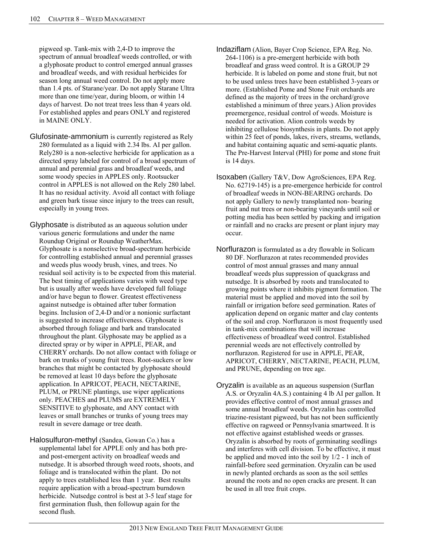pigweed sp. Tank-mix with 2,4-D to improve the spectrum of annual broadleaf weeds controlled, or with a glyphosate product to control emerged annual grasses and broadleaf weeds, and with residual herbicides for season long annual weed control. Do not apply more than 1.4 pts. of Starane/year. Do not apply Starane Ultra more than one time/year, during bloom, or within 14 days of harvest. Do not treat trees less than 4 years old. For established apples and pears ONLY and registered in MAINE ONLY.

- Glufosinate-ammonium is currently registered as Rely 280 formulated as a liquid with 2.34 lbs. AI per gallon. Rely280 is a non-selective herbicide for application as a directed spray labeled for control of a broad spectrum of annual and perennial grass and broadleaf weeds, and some woody species in APPLES only. Rootsucker control in APPLES is not allowed on the Rely 280 label. It has no residual activity. Avoid all contact with foliage and green bark tissue since injury to the trees can result, especially in young trees.
- Glyphosate is distributed as an aqueous solution under various generic formulations and under the name Roundup Original or Roundup WeatherMax. Glyphosate is a nonselective broad-spectrum herbicide for controlling established annual and perennial grasses and weeds plus woody brush, vines, and trees. No residual soil activity is to be expected from this material. The best timing of applications varies with weed type but is usually after weeds have developed full foliage and/or have begun to flower. Greatest effectiveness against nutsedge is obtained after tuber formation begins. Inclusion of 2,4-D and/or a nonionic surfactant is suggested to increase effectiveness. Glyphosate is absorbed through foliage and bark and translocated throughout the plant. Glyphosate may be applied as a directed spray or by wiper in APPLE, PEAR, and CHERRY orchards. Do not allow contact with foliage or bark on trunks of young fruit trees. Root-suckers or low branches that might be contacted by glyphosate should be removed at least 10 days before the glyphosate application. In APRICOT, PEACH, NECTARINE, PLUM, or PRUNE plantings, use wiper applications only. PEACHES and PLUMS are EXTREMELY SENSITIVE to glyphosate, and ANY contact with leaves or small branches or trunks of young trees may result in severe damage or tree death.
- Halosulfuron-methyl (Sandea, Gowan Co.) has a supplemental label for APPLE only and has both preand post-emergent activity on broadleaf weeds and nutsedge. It is absorbed through weed roots, shoots, and foliage and is translocated within the plant. Do not apply to trees established less than 1 year. Best results require application with a broad-spectrum burndown herbicide. Nutsedge control is best at 3-5 leaf stage for first germination flush, then followup again for the second flush.
- Indaziflam (Alion, Bayer Crop Science, EPA Reg. No. 264-1106) is a pre-emergent herbicide with both broadleaf and grass weed control. It is a GROUP 29 herbicide. It is labeled on pome and stone fruit, but not to be used unless trees have been established 3-years or more. (Established Pome and Stone Fruit orchards are defined as the majority of trees in the orchard/grove established a minimum of three years.) Alion provides preemergence, residual control of weeds. Moisture is needed for activation. Alion controls weeds by inhibiting cellulose biosynthesis in plants. Do not apply within 25 feet of ponds, lakes, rivers, streams, wetlands, and habitat containing aquatic and semi-aquatic plants. The Pre-Harvest Interval (PHI) for pome and stone fruit is 14 days.
- Isoxaben (Gallery T&V, Dow AgroSciences, EPA Reg. No. 62719-145) is a pre-emergence herbicide for control of broadleaf weeds in NON-BEARING orchards. Do not apply Gallery to newly transplanted non- bearing fruit and nut trees or non-bearing vineyards until soil or potting media has been settled by packing and irrigation or rainfall and no cracks are present or plant injury may occur.
- Norflurazon is formulated as a dry flowable in Solicam 80 DF. Norflurazon at rates recommended provides control of most annual grasses and many annual broadleaf weeds plus suppression of quackgrass and nutsedge. It is absorbed by roots and translocated to growing points where it inhibits pigment formation. The material must be applied and moved into the soil by rainfall or irrigation before seed germination. Rates of application depend on organic matter and clay contents of the soil and crop. Norflurazon is most frequently used in tank-mix combinations that will increase effectiveness of broadleaf weed control. Established perennial weeds are not effectively controlled by norflurazon. Registered for use in APPLE, PEAR, APRICOT, CHERRY, NECTARINE, PEACH, PLUM, and PRUNE, depending on tree age.
- Oryzalin is available as an aqueous suspension (Surflan A.S. or Oryzalin 4A.S.) containing 4 lb AI per gallon. It provides effective control of most annual grasses and some annual broadleaf weeds. Oryzalin has controlled triazine-resistant pigweed, but has not been sufficiently effective on ragweed or Pennsylvania smartweed. It is not effective against established weeds or grasses. Oryzalin is absorbed by roots of germinating seedlings and interferes with cell division. To be effective, it must be applied and moved into the soil by 1/2 - 1 inch of rainfall-before seed germination. Oryzalin can be used in newly planted orchards as soon as the soil settles around the roots and no open cracks are present. It can be used in all tree fruit crops.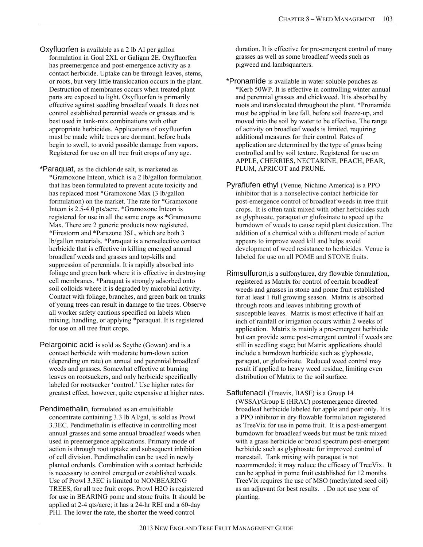- Oxyfluorfen is available as a 2 lb AI per gallon formulation in Goal 2XL or Galigan 2E. Oxyfluorfen has preemergence and post-emergence activity as a contact herbicide. Uptake can be through leaves, stems, or roots, but very little translocation occurs in the plant. Destruction of membranes occurs when treated plant parts are exposed to light. Oxyfluorfen is primarily effective against seedling broadleaf weeds. It does not control established perennial weeds or grasses and is best used in tank-mix combinations with other appropriate herbicides. Applications of oxyfluorfen must be made while trees are dormant, before buds begin to swell, to avoid possible damage from vapors. Registered for use on all tree fruit crops of any age.
- \*Paraquat, as the dichloride salt, is marketed as \*Gramoxone Inteon, which is a 2 lb/gallon formulation that has been formulated to prevent acute toxicity and has replaced most \*Gramoxone Max (3 lb/gallon formulation) on the market. The rate for \*Gramoxone Inteon is 2.5-4.0 pts/acre. \*Gramoxone Inteon is registered for use in all the same crops as \*Gramoxone Max. There are 2 generic products now registered, \*Firestorm and \*Parazone 3SL, which are both 3 lb/gallon materials. \*Paraquat is a nonselective contact herbicide that is effective in killing emerged annual broadleaf weeds and grasses and top-kills and suppression of perennials. It is rapidly absorbed into foliage and green bark where it is effective in destroying cell membranes. \*Paraquat is strongly adsorbed onto soil colloids where it is degraded by microbial activity. Contact with foliage, branches, and green bark on trunks of young trees can result in damage to the trees. Observe all worker safety cautions specified on labels when mixing, handling, or applying \*paraquat. It is registered for use on all tree fruit crops.
- Pelargoinic acid is sold as Scythe (Gowan) and is a contact herbicide with moderate burn-down action (depending on rate) on annual and perennial broadleaf weeds and grasses. Somewhat effective at burning leaves on rootsuckers, and only herbicide specifically labeled for rootsucker 'control.' Use higher rates for greatest effect, however, quite expensive at higher rates.
- Pendimethalin, formulated as an emulsifiable concentrate containing 3.3 lb AI/gal, is sold as Prowl 3.3EC. Pendimethalin is effective in controlling most annual grasses and some annual broadleaf weeds when used in preemergence applications. Primary mode of action is through root uptake and subsequent inhibition of cell division. Pendimethalin can be used in newly planted orchards. Combination with a contact herbicide is necessary to control emerged or established weeds. Use of Prowl 3.3EC is limited to NONBEARING TREES, for all tree fruit crops. Prowl H2O is registered for use in BEARING pome and stone fruits. It should be applied at 2-4 qts/acre; it has a 24-hr REI and a 60-day PHI. The lower the rate, the shorter the weed control

duration. It is effective for pre-emergent control of many grasses as well as some broadleaf weeds such as pigweed and lambsquarters.

- \*Pronamide is available in water-soluble pouches as \*Kerb 50WP. It is effective in controlling winter annual and perennial grasses and chickweed. It is absorbed by roots and translocated throughout the plant. \*Pronamide must be applied in late fall, before soil freeze-up, and moved into the soil by water to be effective. The range of activity on broadleaf weeds is limited, requiring additional measures for their control. Rates of application are determined by the type of grass being controlled and by soil texture. Registered for use on APPLE, CHERRIES, NECTARINE, PEACH, PEAR, PLUM, APRICOT and PRUNE.
- Pyraflufen ethyl (Venue, Nichino America) is a PPO inhibitor that is a nonselective contact herbicide for post-emergence control of broadleaf weeds in tree fruit crops. It is often tank mixed with other herbicides such as glyphosate, paraquat or glufosinate to speed up the burndown of weeds to cause rapid plant desiccation. The addition of a chemical with a different mode of action appears to improve weed kill and helps avoid development of weed resistance to herbicides. Venue is labeled for use on all POME and STONE fruits.
- Rimsulfuron,is a sulfonylurea, dry flowable formulation, registered as Matrix for control of certain broadleaf weeds and grasses in stone and pome fruit established for at least 1 full growing season. Matrix is absorbed through roots and leaves inhibiting growth of susceptible leaves. Matrix is most effective if half an inch of rainfall or irrigation occurs within 2 weeks of application. Matrix is mainly a pre-emergent herbicide but can provide some post-emergent control if weeds are still in seedling stage; but Matrix applications should include a burndown herbicide such as glyphosate, paraquat, or glufosinate. Reduced weed control may result if applied to heavy weed residue, limiting even distribution of Matrix to the soil surface.
- Saflufenacil (Treevix, BASF) is a Group 14 (WSSA)/Group E (HRAC) postemergence directed broadleaf herbicide labeled for apple and pear only. It is a PPO inhibitor in dry flowable formulation registered as TreeVix for use in pome fruit. It is a post-emergent burndown for broadleaf weeds but must be tank mixed with a grass herbicide or broad spectrum post-emergent herbicide such as glyphosate for improved control of marestail. Tank mixing with paraquat is not recommended; it may reduce the efficacy of TreeVix. It can be applied in pome fruit established for 12 months. TreeVix requires the use of MSO (methylated seed oil) as an adjuvant for best results. . Do not use year of planting.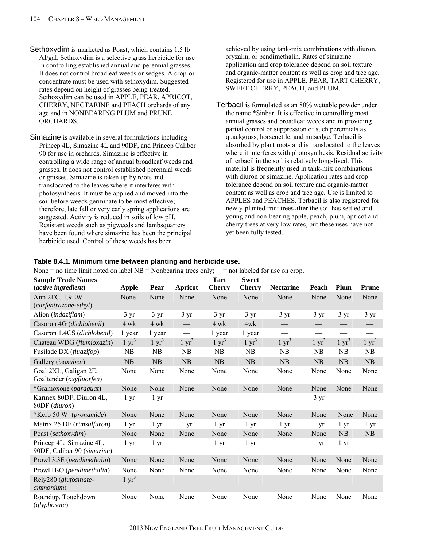- Sethoxydim is marketed as Poast, which contains 1.5 lb AI/gal. Sethoxydim is a selective grass herbicide for use in controlling established annual and perennial grasses. It does not control broadleaf weeds or sedges. A crop-oil concentrate must be used with sethoxydim. Suggested rates depend on height of grasses being treated. Sethoxydim can be used in APPLE, PEAR, APRICOT, CHERRY, NECTARINE and PEACH orchards of any age and in NONBEARING PLUM and PRUNE ORCHARDS.
- Simazine is available in several formulations including Princep 4L, Simazine 4L and 90DF, and Princep Caliber 90 for use in orchards. Simazine is effective in controlling a wide range of annual broadleaf weeds and grasses. It does not control established perennial weeds or grasses. Simazine is taken up by roots and translocated to the leaves where it interferes with photosynthesis. It must be applied and moved into the soil before weeds germinate to be most effective; therefore, late fall or very early spring applications are suggested. Activity is reduced in soils of low pH. Resistant weeds such as pigweeds and lambsquarters have been found where simazine has been the principal herbicide used. Control of these weeds has been

achieved by using tank-mix combinations with diuron, oryzalin, or pendimethalin. Rates of simazine application and crop tolerance depend on soil texture and organic-matter content as well as crop and tree age. Registered for use in APPLE, PEAR, TART CHERRY, SWEET CHERRY, PEACH, and PLUM.

Terbacil is formulated as an 80% wettable powder under the name \*Sinbar. It is effective in controlling most annual grasses and broadleaf weeds and in providing partial control or suppression of such perennials as quackgrass, horsenettle, and nutsedge. Terbacil is absorbed by plant roots and is translocated to the leaves where it interferes with photosynthesis. Residual activity of terbacil in the soil is relatively long-lived. This material is frequently used in tank-mix combinations with diuron or simazine. Application rates and crop tolerance depend on soil texture and organic-matter content as well as crop and tree age. Use is limited to APPLES and PEACHES. Terbacil is also registered for newly-planted fruit trees after the soil has settled and young and non-bearing apple, peach, plum, apricot and cherry trees at very low rates, but these uses have not yet been fully tested.

| $\mu$ rone – no time finite noted on fabel $\mu$ – induced ing trees only, –– not fabeled for use on crop.<br><b>Sample Trade Names</b> |                   |                  |                          | <b>Tart</b>      | <b>Sweet</b>     |                          |                  |                   |                                 |
|-----------------------------------------------------------------------------------------------------------------------------------------|-------------------|------------------|--------------------------|------------------|------------------|--------------------------|------------------|-------------------|---------------------------------|
| <i>(active ingredient)</i>                                                                                                              | <b>Apple</b>      | Pear             | Apricot                  | <b>Cherry</b>    | <b>Cherry</b>    | <b>Nectarine</b>         | Peach            | Plum              | <b>Prune</b>                    |
| Aim 2EC, 1.9EW                                                                                                                          | None <sup>4</sup> | None             | None                     | None             | None             | None                     | None             | None              | None                            |
| (carfentrazone-ethyl)                                                                                                                   |                   |                  |                          |                  |                  |                          |                  |                   |                                 |
| Alion (indaziflam)                                                                                                                      | $3 \text{ yr}$    | $3 \text{ yr}$   | $3 \text{ yr}$           | $3 \text{ yr}$   | $3 \text{ yr}$   | $3 \text{ yr}$           | $3 \text{ yr}$   | $3 \text{ yr}$    | $3 \text{ yr}$                  |
| Casoron 4G (dichlobenil)                                                                                                                | $4 \text{ wk}$    | $4 \text{ wk}$   | $\overline{\phantom{0}}$ | $4 \text{ wk}$   | 4wk              | $\overline{\phantom{m}}$ |                  |                   |                                 |
| Casoron 1.4CS (dichlobenil)                                                                                                             | 1 year            | 1 year           | $\overline{\phantom{m}}$ | 1 year           | 1 year           | $\overline{\phantom{m}}$ |                  | $\hspace{0.05cm}$ | $\hspace{0.1mm}-\hspace{0.1mm}$ |
| Chateau WDG (flumioxazin)                                                                                                               | $1 \text{ yr}^3$  | $1 \text{ yr}^3$ | $1 \text{ yr}^3$         | $1 \text{ yr}^3$ | $1 \text{ yr}^3$ | $1 \text{ yr}^3$         | $1 \text{ yr}^3$ | $1 \text{ yr}^3$  | $1 \text{ yr}^3$                |
| Fusilade DX (fluazifop)                                                                                                                 | <b>NB</b>         | N <sub>B</sub>   | NB                       | N <sub>B</sub>   | N <sub>B</sub>   | <b>NB</b>                | NB               | NB                | <b>NB</b>                       |
| Gallery (isoxaben)                                                                                                                      | NB                | NB               | NB                       | NB               | NB               | NB                       | NB               | NB                | NB                              |
| Goal 2XL, Galigan 2E,<br>Goaltender (oxyfluorfen)                                                                                       | None              | None             | None                     | None             | None             | None                     | None             | None              | None                            |
| *Gramoxone (paraquat)                                                                                                                   | None              | None             | None                     | None             | None             | None                     | None             | None              | None                            |
| Karmex 80DF, Diuron 4L,<br>80DF (diuron)                                                                                                | 1 <sub>yr</sub>   | 1 <sub>yr</sub>  |                          |                  |                  |                          | $3 \text{ yr}$   |                   |                                 |
| *Kerb 50 $W1$ (pronamide)                                                                                                               | None              | None             | None                     | None             | None             | None                     | None             | None              | None                            |
| Matrix 25 DF (rimsulfuron)                                                                                                              | $1 \, yr$         | 1 <sub>yr</sub>  | 1 yr                     | $1 \, yr$        | 1 yr             | $1 \, yr$                | $1 \, yr$        | 1 <sub>yr</sub>   | 1 <sub>yr</sub>                 |
| Poast (sethoxydim)                                                                                                                      | None              | None             | None                     | None             | None             | None                     | None             | <b>NB</b>         | NB                              |
| Princep 4L, Simazine 4L,<br>90DF, Caliber 90 (simazine)                                                                                 | 1 <sub>yr</sub>   | 1 <sub>yr</sub>  |                          | 1 <sub>yr</sub>  | 1 <sub>yr</sub>  |                          | 1 <sub>yr</sub>  | $1 \, yr$         |                                 |
| Prowl 3.3E (pendimethalin)                                                                                                              | None              | None             | None                     | None             | None             | None                     | None             | None              | None                            |
| Prowl $H_2O$ (pendimethalin)                                                                                                            | None              | None             | None                     | None             | None             | None                     | None             | None              | None                            |
| Rely280 (glufosinate-<br><i>ammonium</i> )                                                                                              | $1 \text{ yr}^3$  |                  |                          |                  |                  |                          |                  |                   |                                 |
| Roundup, Touchdown<br>(glyphosate)                                                                                                      | None              | None             | None                     | None             | None             | None                     | None             | None              | None                            |

#### **Table 8.4.1. Minimum time between planting and herbicide use.**   $N_{\text{max}} = n_1 t_{\text{max}} t_{\text{max}} t_{\text{max}} t_{\text{max}} t_{\text{max}} t_{\text{max}} t_{\text{max}} t_{\text{max}} t_{\text{max}} t_{\text{max}} t_{\text{max}} t_{\text{max}} t_{\text{max}} t_{\text{max}} t_{\text{max}} t_{\text{max}} t_{\text{max}} t_{\text{max}} t_{\text{max}} t_{\text{max}} t_{\text{max}} t_{\text{max}} t_{\text{max}} t_{\text{max}} t_{\text{max}} t_{\text{max}} t_{\text{max}} t_{\text{max}} t_{\text{max}} t_{\text{max$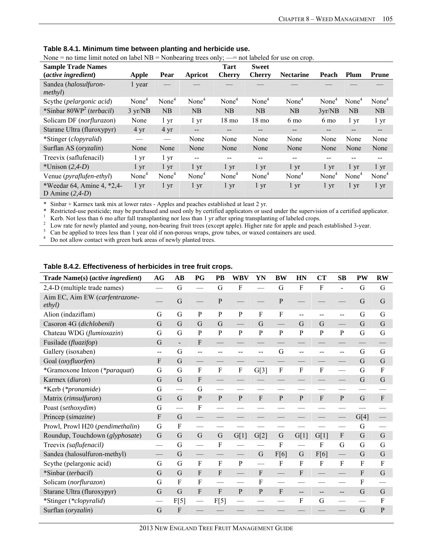| EVOILE – TO thrie finite hotel on faver typ – typiloearing trees only, $\equiv$ |                   |                   |                   |                   |                   | not labeled for use on crop. |                   |                   |                          |
|---------------------------------------------------------------------------------|-------------------|-------------------|-------------------|-------------------|-------------------|------------------------------|-------------------|-------------------|--------------------------|
| <b>Sample Trade Names</b>                                                       |                   |                   |                   | <b>Tart</b>       | <b>Sweet</b>      |                              |                   |                   |                          |
| <i>(active ingredient)</i>                                                      | Apple             | Pear              | <b>Apricot</b>    | <b>Cherry</b>     | <b>Cherry</b>     | <b>Nectarine</b>             | Peach             | Plum              | Prune                    |
| Sandea (halosulfuron-<br>methyl)                                                | 1 year            |                   |                   |                   |                   |                              |                   |                   |                          |
| Scythe ( <i>pelargonic acid</i> )                                               | None <sup>4</sup> | None <sup>4</sup> | None <sup>4</sup> | None <sup>4</sup> | None <sup>4</sup> | None <sup>4</sup>            | None <sup>4</sup> | None <sup>4</sup> | None <sup>4</sup>        |
| *Sinbar $80WP^2$ (terbacil)                                                     | 3 yr/NB           | NB                | NB                | NB                | NB                | NB                           | 3yr/NB            | NB                | NB                       |
| Solicam DF (norflurazon)                                                        | None              | $1 \mathrm{yr}$   | $1 \, yr$         | $18 \text{ mo}$   | $18 \text{ mo}$   | 6 mo                         | 6 mo              | 1 yr              | $1 \, yr$                |
| Starane Ultra (fluroxypyr)                                                      | $4 \text{ yr}$    | $4 \text{ yr}$    | $-$               | --                | --                | --                           |                   | --                | $\qquad \qquad -$        |
| *Stinger (clopyralid)                                                           |                   | $\hspace{0.05cm}$ | None              | None              | None              | None                         | None              | None              | None                     |
| Surflan AS (oryzalin)                                                           | None              | None              | None              | None              | None              | None                         | None              | None              | None                     |
| Treevix (saflufenacil)                                                          | 1 yr              | 1 yr              | $-$               | --                | --                | --                           |                   |                   | $\overline{\phantom{m}}$ |
| *Unison $(2,4-D)$                                                               | $1 \mathrm{yr}$   | $1 \mathrm{yr}$   | $1 \mathrm{yr}$   | $1 \mathrm{yr}$   | $1 \mathrm{yr}$   | $1 \mathrm{yr}$              | $1 \mathrm{yr}$   | $1 \mathrm{yr}$   | $1 \, yr$                |
| Venue ( <i>pyraflufen-ethyl</i> )                                               | None <sup>4</sup> | None <sup>4</sup> | None <sup>4</sup> | None <sup>4</sup> | None <sup>4</sup> | None <sup>4</sup>            | None <sup>4</sup> | None <sup>4</sup> | None <sup>4</sup>        |
| *Weedar 64, Amine 4, *2,4-<br>D Amine $(2,4-D)$                                 | $1 \mathrm{yr}$   | $1 \mathrm{yr}$   | $1 \, yr$         | $1 \, yr$         | $1 \mathrm{yr}$   | $1 \, yr$                    | $1 \, yr$         | $1 \mathrm{yr}$   | $1 \, yr$                |

**Table 8.4.1. Minimum time between planting and herbicide use.** 

None  $\equiv$  no time limit noted on label NB  $\equiv$  Nonbearing trees only;  $\equiv$  not labeled for use on crop.

\* Sinbar + Karmex tank mix at lower rates - Apples and peaches established at least 2 yr.

\* Restricted-use pesticide; may be purchased and used only by certified applicators or used under the supervision of a certified applicator.<br>
<sup>1</sup> Kerb. Not less than 6 mo after fall transplanting nor less than 1 yr after

 $\frac{3}{4}$  Can be applied to trees less than 1 year old if non-porous wraps, grow tubes, or waxed containers are used.<br> $\frac{4}{4}$  Do not allow contact with green bark areas of newly planted trees

Do not allow contact with green bark areas of newly planted trees.

| Trade Name(s) (active ingredient)        | AG                        | AB                       | $_{\rm PG}$                   | PB               | <b>WBV</b>                                    | YN             | <b>BW</b>                 | HN           | CT           | <b>SB</b>      | <b>PW</b>   | <b>RW</b>    |
|------------------------------------------|---------------------------|--------------------------|-------------------------------|------------------|-----------------------------------------------|----------------|---------------------------|--------------|--------------|----------------|-------------|--------------|
| 2,4-D (multiple trade names)             |                           | G                        |                               | G                | F                                             |                | G                         | F            | F            |                | G           | G            |
| Aim EC, Aim EW (carfentrazone-<br>ethyl) |                           | G                        |                               | ${\bf P}$        |                                               |                | $\mathbf{P}$              |              |              |                | $\mathbf G$ | G            |
| Alion (indaziflam)                       | G                         | G                        | ${\bf P}$                     | ${\bf P}$        | ${\bf P}$                                     | $\overline{F}$ | ${\rm F}$                 | $-$          | $-$          | --             | G           | G            |
| Casoron 4G (dichlobenil)                 | G                         | G                        | G                             | G                |                                               | G              |                           | G            | G            |                | G           | $\mathbf G$  |
| Chateau WDG (flumioxazin)                | G                         | G                        | ${\bf P}$                     | ${\bf P}$        | ${\bf P}$                                     | ${\bf P}$      | $\, {\bf p}$              | $\mathbf{P}$ | ${\bf P}$    | ${\bf P}$      | $\mathbf G$ | G            |
| Fusilade (fluazifop)                     | G                         | $\overline{a}$           | $\boldsymbol{\mathrm{F}}$     |                  |                                               |                |                           |              |              |                |             |              |
| Gallery (isoxaben)                       | $-$                       | G                        | $\overline{a}$                | $-$              | --                                            | $-$            | G                         | $-$          | $-$          | $\overline{a}$ | G           | G            |
| Goal (oxyfluorfen)                       | $\boldsymbol{\mathrm{F}}$ | $\mathbf G$              |                               |                  |                                               |                |                           |              |              |                | $\mathbf G$ | G            |
| *Gramoxone Inteon (*paraquat)            | G                         | G                        | ${\bf F}$                     | ${\bf F}$        | $\mathbf F$                                   | G[3]           | $\boldsymbol{\mathrm{F}}$ | F            | $\rm F$      |                | G           | ${\bf F}$    |
| Karmex (diuron)                          | G                         | G                        | F                             |                  |                                               |                |                           |              |              |                | $\mathbf G$ | G            |
| *Kerb (*pronamide)                       | G                         | $\overline{\phantom{0}}$ | G                             |                  |                                               |                |                           |              |              |                |             |              |
| Matrix (rimsulfuron)                     | G                         | $\mathbf G$              | $\mathbf{P}$                  | ${\bf P}$        | $\mathbf{P}$                                  | $\mathbf{F}$   | $\overline{P}$            | $\mathbf{P}$ | $\mathbf{F}$ | ${\bf P}$      | $\mathbf G$ | $\Gamma$     |
| Poast (sethoxydim)                       | G                         |                          | F                             |                  |                                               |                |                           |              |              |                |             |              |
| Princep (simazine)                       | ${\bf F}$                 | $\mathbf G$              |                               |                  |                                               |                |                           |              |              |                | G[4]        |              |
| Prowl, Prowl H20 (pendimethalin)         | G                         | $\overline{F}$           |                               |                  |                                               |                |                           |              |              |                | G           |              |
| Roundup, Touchdown (glyphosate)          | $\mathsf G$               | G                        | $\mathbf G$                   | $\mathbf G$      | G[1]                                          | G[2]           | $\mathbf G$               | G[1]         | G[1]         | ${\bf F}$      | G           | G            |
| Treevix (saflufenacil)                   |                           | G                        | $\overbrace{\phantom{aaaaa}}$ | ${\bf F}$        |                                               |                | F                         |              | ${\bf F}$    | G              | G           | G            |
| Sandea (halosulfuron-methyl)             |                           | G                        |                               |                  |                                               | G              | F[6]                      | $\mathbf G$  | F[6]         |                | G           | G            |
| Scythe (pelargonic acid)                 | G                         | G                        | $\overline{F}$                | ${\bf F}$        | $\mathbf P$                                   |                | F                         | F            | $\mathbf{F}$ | ${\bf F}$      | ${\bf F}$   | $\rm F$      |
| *Sinbar (terbacil)                       | G                         | G                        | $\boldsymbol{\mathrm{F}}$     | $\boldsymbol{F}$ | $\qquad \qquad$                               | $\mathbf{F}$   |                           | F            |              |                | $\rm F$     | G            |
| Solicam (norflurazon)                    | G                         | $\overline{F}$           | $\mathbf F$                   |                  |                                               | $\mathbf{F}$   | <u>e a</u>                |              |              |                | ${\bf F}$   |              |
| Starane Ultra (fluroxypyr)               | G                         | G                        | $\boldsymbol{\mathrm{F}}$     | ${\bf F}$        | $\mathbf{P}$                                  | $\mathbf{P}$   | $\mathbf{F}$              | --           | $-$          | --             | G           | G            |
| *Stinger (*clopyralid)                   |                           | F[5]                     |                               | F[5]             | $\qquad \qquad \overbrace{\qquad \qquad }^{}$ |                |                           | F            | G            |                |             | ${\bf F}$    |
| Surflan (oryzalin)                       | G                         | $\mathbf{F}$             |                               |                  |                                               |                |                           |              |              |                | $\mathbf G$ | $\mathbf{P}$ |
|                                          |                           |                          |                               |                  |                                               |                |                           |              |              |                |             |              |

#### **Table 8.4.2. Effectiveness of herbicides in tree fruit crops.**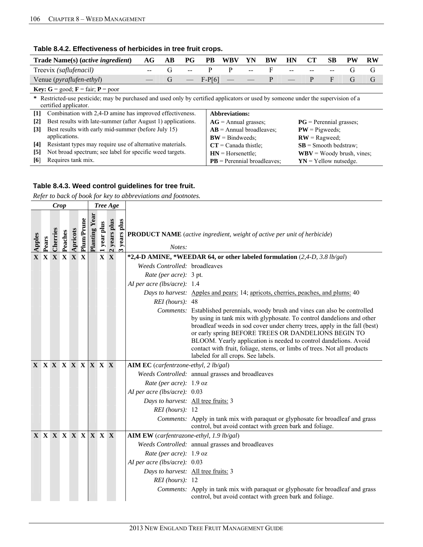| Trade Name(s) ( <i>active ingredient</i> )                                                                                                                 | AG | AВ | PG | PB.      | WBV                        | YN | BW | HN | CT                                                         | SВ | PW | <b>RW</b> |  |  |  |  |
|------------------------------------------------------------------------------------------------------------------------------------------------------------|----|----|----|----------|----------------------------|----|----|----|------------------------------------------------------------|----|----|-----------|--|--|--|--|
| Treevix (saflufenacil)                                                                                                                                     |    | G  |    | P        | P                          |    |    |    |                                                            |    | G  | G         |  |  |  |  |
| Venue ( <i>pyraflufen-ethyl</i> )                                                                                                                          |    | G  |    | $F-P[6]$ |                            |    | P  |    | P                                                          | F  | G  | G         |  |  |  |  |
| <b>Key:</b> $G = \text{good}$ ; $F = \text{fair}$ ; $P = \text{poor}$                                                                                      |    |    |    |          |                            |    |    |    |                                                            |    |    |           |  |  |  |  |
| * Restricted-use pesticide; may be purchased and used only by certified applicators or used by someone under the supervision of a<br>certified applicator. |    |    |    |          |                            |    |    |    |                                                            |    |    |           |  |  |  |  |
| Combination with 2,4-D amine has improved effectiveness.<br>$\lceil 1 \rceil$                                                                              |    |    |    |          | <b>Abbreviations:</b>      |    |    |    |                                                            |    |    |           |  |  |  |  |
| Best results with late-summer (after August 1) applications.<br>$\lceil 2 \rceil$                                                                          |    |    |    |          | $AG =$ Annual grasses;     |    |    |    | $PG$ = Perennial grasses;                                  |    |    |           |  |  |  |  |
| Best results with early mid-summer (before July 15)<br>$\lceil 3 \rceil$                                                                                   |    |    |    |          | $AB =$ Annual broadleaves; |    |    |    | $PW =$ Pigweeds:                                           |    |    |           |  |  |  |  |
| applications.                                                                                                                                              |    |    |    |          | $BW = Bindweeds$ ;         |    |    |    | $RW =$ Ragweed:                                            |    |    |           |  |  |  |  |
| Resistant types may require use of alternative materials.<br>[4]<br>$CT = Canada$ thistle:<br>$SB =$ Smooth bedstraw;                                      |    |    |    |          |                            |    |    |    |                                                            |    |    |           |  |  |  |  |
| Not broad spectrum; see label for specific weed targets.<br>$\lceil 5 \rceil$<br>$WBV = Woody$ brush, vines;<br>$HN = Horsenettle$                         |    |    |    |          |                            |    |    |    |                                                            |    |    |           |  |  |  |  |
| Requires tank mix.<br>[6]                                                                                                                                  |    |    |    |          |                            |    |    |    | $PB = Perennial broadleaves$ :<br>$YN = Y$ ellow nutsedge. |    |    |           |  |  |  |  |

### **Table 8.4.2. Effectiveness of herbicides in tree fruit crops.**

### **Table 8.4.3. Weed control guidelines for tree fruit.**

|                          |       | Crop              |         |          |                   |              |             | Tree Age   |                             |                                          |                                                                                                                                                                                                                                                                                                                                                                                                                                                                                  |
|--------------------------|-------|-------------------|---------|----------|-------------------|--------------|-------------|------------|-----------------------------|------------------------------------------|----------------------------------------------------------------------------------------------------------------------------------------------------------------------------------------------------------------------------------------------------------------------------------------------------------------------------------------------------------------------------------------------------------------------------------------------------------------------------------|
| Apples                   | Pears | Cherries          | Peaches | Apricots | <b>Plum/Prune</b> | Planting Yea | 1 year plus | years plus | years plus<br>$\frac{a}{2}$ | Notes:                                   | <b>PRODUCT NAME</b> (active ingredient, weight of active per unit of herbicide)                                                                                                                                                                                                                                                                                                                                                                                                  |
|                          |       | X X X X X X       |         |          |                   |              |             | X X        |                             |                                          | *2,4-D AMINE, *WEEDAR 64, or other labeled formulation (2,4-D, 3.8 lb/gal)                                                                                                                                                                                                                                                                                                                                                                                                       |
|                          |       |                   |         |          |                   |              |             |            |                             | Weeds Controlled: broadleaves            |                                                                                                                                                                                                                                                                                                                                                                                                                                                                                  |
|                          |       |                   |         |          |                   |              |             |            |                             | Rate (per acre): 3 pt.                   |                                                                                                                                                                                                                                                                                                                                                                                                                                                                                  |
|                          |       |                   |         |          |                   |              |             |            |                             | AI per acre (lbs/acre): 1.4              |                                                                                                                                                                                                                                                                                                                                                                                                                                                                                  |
|                          |       |                   |         |          |                   |              |             |            |                             |                                          | Days to harvest: Apples and pears: 14, apricots, cherries, peaches, and plums: 40                                                                                                                                                                                                                                                                                                                                                                                                |
|                          |       |                   |         |          |                   |              |             |            |                             | $REI$ (hours): 48                        |                                                                                                                                                                                                                                                                                                                                                                                                                                                                                  |
|                          |       |                   |         |          |                   |              |             |            |                             |                                          | Comments: Established perennials, woody brush and vines can also be controlled<br>by using in tank mix with glyphosate. To control dandelions and other<br>broadleaf weeds in sod cover under cherry trees, apply in the fall (best)<br>or early spring BEFORE TREES OR DANDELIONS BEGIN TO<br>BLOOM. Yearly application is needed to control dandelions. Avoid<br>contact with fruit, foliage, stems, or limbs of trees. Not all products<br>labeled for all crops. See labels. |
| <b>X X X X X X X X X</b> |       |                   |         |          |                   |              |             |            |                             | AIM EC (carfentrzone-ethyl, 2 lb/gal)    |                                                                                                                                                                                                                                                                                                                                                                                                                                                                                  |
|                          |       |                   |         |          |                   |              |             |            |                             |                                          | Weeds Controlled: annual grasses and broadleaves                                                                                                                                                                                                                                                                                                                                                                                                                                 |
|                          |       |                   |         |          |                   |              |             |            |                             | <i>Rate (per acre)</i> : $1.9 oz$        |                                                                                                                                                                                                                                                                                                                                                                                                                                                                                  |
|                          |       |                   |         |          |                   |              |             |            |                             | AI per acre (lbs/acre): 0.03             |                                                                                                                                                                                                                                                                                                                                                                                                                                                                                  |
|                          |       |                   |         |          |                   |              |             |            |                             | Days to harvest: All tree fruits: 3      |                                                                                                                                                                                                                                                                                                                                                                                                                                                                                  |
|                          |       |                   |         |          |                   |              |             |            |                             | $REI$ (hours): 12                        |                                                                                                                                                                                                                                                                                                                                                                                                                                                                                  |
|                          |       |                   |         |          |                   |              |             |            |                             |                                          | Comments: Apply in tank mix with paraquat or glyphosate for broadleaf and grass<br>control, but avoid contact with green bark and foliage.                                                                                                                                                                                                                                                                                                                                       |
|                          |       | X X X X X X X X X |         |          |                   |              |             |            |                             | AIM EW (carfentrazone-ethyl, 1.9 lb/gal) |                                                                                                                                                                                                                                                                                                                                                                                                                                                                                  |
|                          |       |                   |         |          |                   |              |             |            |                             |                                          | Weeds Controlled: annual grasses and broadleaves                                                                                                                                                                                                                                                                                                                                                                                                                                 |
|                          |       |                   |         |          |                   |              |             |            |                             | Rate (per acre): $1.9$ oz                |                                                                                                                                                                                                                                                                                                                                                                                                                                                                                  |
|                          |       |                   |         |          |                   |              |             |            |                             | AI per acre (lbs/acre): 0.03             |                                                                                                                                                                                                                                                                                                                                                                                                                                                                                  |
|                          |       |                   |         |          |                   |              |             |            |                             | Days to harvest: All tree fruits: 3      |                                                                                                                                                                                                                                                                                                                                                                                                                                                                                  |
|                          |       |                   |         |          |                   |              |             |            |                             | $REI$ (hours): 12                        |                                                                                                                                                                                                                                                                                                                                                                                                                                                                                  |
|                          |       |                   |         |          |                   |              |             |            |                             |                                          | Comments: Apply in tank mix with paraquat or glyphosate for broadleaf and grass<br>control, but avoid contact with green bark and foliage.                                                                                                                                                                                                                                                                                                                                       |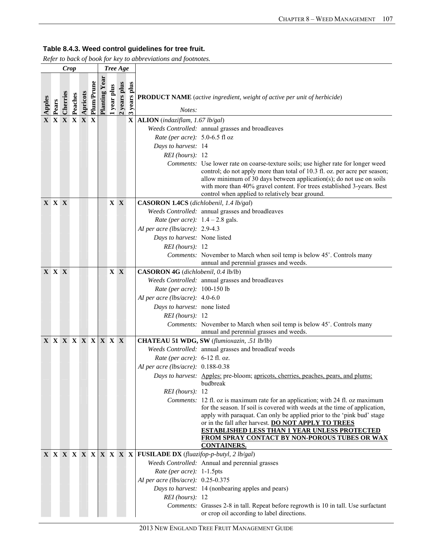|        |                     | <b>Crop</b> |         |          |            |              |           | Tree Age   |                      |                                         |                                                                                                                                                                                                                                                                                                                                                                      |
|--------|---------------------|-------------|---------|----------|------------|--------------|-----------|------------|----------------------|-----------------------------------------|----------------------------------------------------------------------------------------------------------------------------------------------------------------------------------------------------------------------------------------------------------------------------------------------------------------------------------------------------------------------|
| Apples | Pears               | Cherries    | Peaches | Apricots | Plum/Prune | Planting Yea | year plus | years plus | years plus<br>$\sim$ | Notes:                                  | <b>PRODUCT NAME</b> (active ingredient, weight of active per unit of herbicide)                                                                                                                                                                                                                                                                                      |
|        | X X X X X X         |             |         |          |            |              |           |            | X                    | ALION (indaziflam, 1.67 lb/gal)         |                                                                                                                                                                                                                                                                                                                                                                      |
|        |                     |             |         |          |            |              |           |            |                      |                                         | Weeds Controlled: annual grasses and broadleaves                                                                                                                                                                                                                                                                                                                     |
|        |                     |             |         |          |            |              |           |            |                      | Rate (per acre): 5.0-6.5 fl oz          |                                                                                                                                                                                                                                                                                                                                                                      |
|        |                     |             |         |          |            |              |           |            |                      | Days to harvest: 14                     |                                                                                                                                                                                                                                                                                                                                                                      |
|        |                     |             |         |          |            |              |           |            |                      | $REI$ (hours): 12                       |                                                                                                                                                                                                                                                                                                                                                                      |
|        |                     |             |         |          |            |              |           |            |                      |                                         | Comments: Use lower rate on coarse-texture soils; use higher rate for longer weed<br>control; do not apply more than total of 10.3 fl. oz. per acre per season;<br>allow minimum of 30 days between application(s); do not use on soils<br>with more than 40% gravel content. For trees established 3-years. Best<br>control when applied to relatively bear ground. |
|        | <b>X X X</b>        |             |         |          |            |              |           | $X \ X$    |                      | CASORON 1.4CS (dichlobenil, 1.4 lb/gal) |                                                                                                                                                                                                                                                                                                                                                                      |
|        |                     |             |         |          |            |              |           |            |                      |                                         | Weeds Controlled: annual grasses and broadleaves                                                                                                                                                                                                                                                                                                                     |
|        |                     |             |         |          |            |              |           |            |                      | Rate (per acre): $1.4 - 2.8$ gals.      |                                                                                                                                                                                                                                                                                                                                                                      |
|        |                     |             |         |          |            |              |           |            |                      | AI per acre (lbs/acre): 2.9-4.3         |                                                                                                                                                                                                                                                                                                                                                                      |
|        |                     |             |         |          |            |              |           |            |                      | Days to harvest: None listed            |                                                                                                                                                                                                                                                                                                                                                                      |
|        |                     |             |         |          |            |              |           |            |                      | $REI$ (hours): 12                       |                                                                                                                                                                                                                                                                                                                                                                      |
|        |                     |             |         |          |            |              |           |            |                      |                                         | Comments: November to March when soil temp is below 45°. Controls many<br>annual and perennial grasses and weeds.                                                                                                                                                                                                                                                    |
|        | <b>X X X</b>        |             |         |          |            |              |           | X X        |                      | CASORON 4G (dichlobenil, 0.4 lb/lb)     |                                                                                                                                                                                                                                                                                                                                                                      |
|        |                     |             |         |          |            |              |           |            |                      |                                         | Weeds Controlled: annual grasses and broadleaves                                                                                                                                                                                                                                                                                                                     |
|        |                     |             |         |          |            |              |           |            |                      | Rate (per acre): 100-150 lb             |                                                                                                                                                                                                                                                                                                                                                                      |
|        |                     |             |         |          |            |              |           |            |                      | AI per acre (lbs/acre): 4.0-6.0         |                                                                                                                                                                                                                                                                                                                                                                      |
|        |                     |             |         |          |            |              |           |            |                      | Days to harvest: none listed            |                                                                                                                                                                                                                                                                                                                                                                      |
|        |                     |             |         |          |            |              |           |            |                      | $REI$ (hours): 12                       |                                                                                                                                                                                                                                                                                                                                                                      |
|        |                     |             |         |          |            |              |           |            |                      |                                         | Comments: November to March when soil temp is below 45°. Controls many                                                                                                                                                                                                                                                                                               |
|        | X X X X X X X X X X |             |         |          |            |              |           |            |                      |                                         | annual and perennial grasses and weeds.<br>CHATEAU 51 WDG, SW (flumioxazin, .51 lb/lb)                                                                                                                                                                                                                                                                               |
|        |                     |             |         |          |            |              |           |            |                      |                                         | Weeds Controlled: annual grasses and broadleaf weeds                                                                                                                                                                                                                                                                                                                 |
|        |                     |             |         |          |            |              |           |            |                      | Rate (per acre): $6-12$ fl. oz.         |                                                                                                                                                                                                                                                                                                                                                                      |
|        |                     |             |         |          |            |              |           |            |                      | AI per acre (lbs/acre): 0.188-0.38      |                                                                                                                                                                                                                                                                                                                                                                      |
|        |                     |             |         |          |            |              |           |            |                      |                                         | Days to harvest: Apples: pre-bloom; apricots, cherries, peaches, pears, and plums:                                                                                                                                                                                                                                                                                   |
|        |                     |             |         |          |            |              |           |            |                      |                                         | budbreak                                                                                                                                                                                                                                                                                                                                                             |
|        |                     |             |         |          |            |              |           |            |                      | REI (hours): 12                         |                                                                                                                                                                                                                                                                                                                                                                      |
|        |                     |             |         |          |            |              |           |            |                      |                                         | Comments: 12 fl. oz is maximum rate for an application; with 24 fl. oz maximum                                                                                                                                                                                                                                                                                       |
|        |                     |             |         |          |            |              |           |            |                      |                                         | for the season. If soil is covered with weeds at the time of application,                                                                                                                                                                                                                                                                                            |
|        |                     |             |         |          |            |              |           |            |                      |                                         | apply with paraquat. Can only be applied prior to the 'pink bud' stage<br>or in the fall after harvest. DO NOT APPLY TO TREES                                                                                                                                                                                                                                        |
|        |                     |             |         |          |            |              |           |            |                      |                                         | <b>ESTABLISHED LESS THAN 1 YEAR UNLESS PROTECTED</b><br>FROM SPRAY CONTACT BY NON-POROUS TUBES OR WAX                                                                                                                                                                                                                                                                |
|        |                     |             |         |          |            |              |           |            |                      |                                         | <b>CONTAINERS.</b>                                                                                                                                                                                                                                                                                                                                                   |
|        |                     |             |         |          |            |              |           |            |                      |                                         |                                                                                                                                                                                                                                                                                                                                                                      |
|        |                     |             |         |          |            |              |           |            |                      |                                         | Weeds Controlled: Annual and perennial grasses                                                                                                                                                                                                                                                                                                                       |
|        |                     |             |         |          |            |              |           |            |                      | Rate (per acre): 1-1.5pts               |                                                                                                                                                                                                                                                                                                                                                                      |
|        |                     |             |         |          |            |              |           |            |                      | AI per acre (lbs/acre): $0.25 - 0.375$  |                                                                                                                                                                                                                                                                                                                                                                      |
|        |                     |             |         |          |            |              |           |            |                      |                                         | Days to harvest: 14 (nonbearing apples and pears)                                                                                                                                                                                                                                                                                                                    |
|        |                     |             |         |          |            |              |           |            |                      | $REI$ (hours): 12                       |                                                                                                                                                                                                                                                                                                                                                                      |
|        |                     |             |         |          |            |              |           |            |                      |                                         | Comments: Grasses 2-8 in tall. Repeat before regrowth is 10 in tall. Use surfactant<br>or crop oil according to label directions.                                                                                                                                                                                                                                    |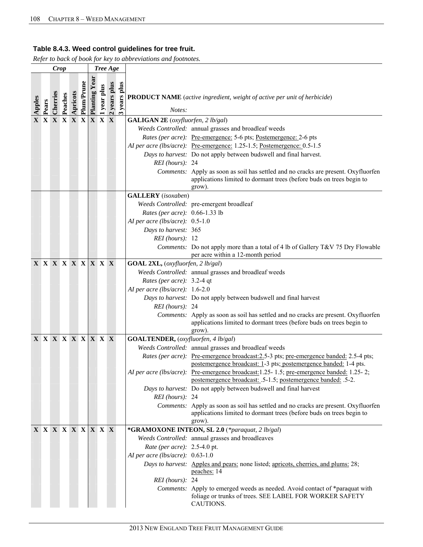|        |                     | <b>Crop</b> |         |          |            |              |            | Tree Age                     |                      |                                           |                                                                                                                                                                      |
|--------|---------------------|-------------|---------|----------|------------|--------------|------------|------------------------------|----------------------|-------------------------------------------|----------------------------------------------------------------------------------------------------------------------------------------------------------------------|
| Apples | Pears               | Cherries    | Peaches | Apricots | Plum/Prune | Planting Yea | year plus  | years plus<br>$\overline{N}$ | years plus<br>$\sim$ | Notes:                                    | <b>PRODUCT NAME</b> (active ingredient, weight of active per unit of herbicide)                                                                                      |
|        | <b>X X X X X X</b>  |             |         |          |            |              | <b>XXX</b> |                              |                      | <b>GALIGAN 2E</b> (oxyfluorfen, 2 lb/gal) |                                                                                                                                                                      |
|        |                     |             |         |          |            |              |            |                              |                      |                                           | Weeds Controlled: annual grasses and broadleaf weeds                                                                                                                 |
|        |                     |             |         |          |            |              |            |                              |                      |                                           | Rates (per acre): Pre-emergence: 5-6 pts; Postemergence: 2-6 pts                                                                                                     |
|        |                     |             |         |          |            |              |            |                              |                      |                                           | AI per acre (lbs/acre): Pre-emergence: 1.25-1.5; Postemergence: 0.5-1.5                                                                                              |
|        |                     |             |         |          |            |              |            |                              |                      |                                           | Days to harvest: Do not apply between budswell and final harvest.                                                                                                    |
|        |                     |             |         |          |            |              |            |                              |                      | REI (hours): 24                           |                                                                                                                                                                      |
|        |                     |             |         |          |            |              |            |                              |                      |                                           | Comments: Apply as soon as soil has settled and no cracks are present. Oxyfluorfen<br>applications limited to dormant trees (before buds on trees begin to<br>grow). |
|        |                     |             |         |          |            |              |            |                              |                      | <b>GALLERY</b> (isoxaben)                 |                                                                                                                                                                      |
|        |                     |             |         |          |            |              |            |                              |                      |                                           | Weeds Controlled: pre-emergent broadleaf                                                                                                                             |
|        |                     |             |         |          |            |              |            |                              |                      | Rates (per acre): 0.66-1.33 lb            |                                                                                                                                                                      |
|        |                     |             |         |          |            |              |            |                              |                      | AI per acre (lbs/acre): $0.5-1.0$         |                                                                                                                                                                      |
|        |                     |             |         |          |            |              |            |                              |                      | Days to harvest: 365                      |                                                                                                                                                                      |
|        |                     |             |         |          |            |              |            |                              |                      | $REI$ (hours): 12                         |                                                                                                                                                                      |
|        |                     |             |         |          |            |              |            |                              |                      |                                           | Comments: Do not apply more than a total of 4 lb of Gallery T&V 75 Dry Flowable<br>per acre within a 12-month period                                                 |
|        | X X X X X X X X X   |             |         |          |            |              |            |                              |                      | GOAL 2XL, (oxyfluorfen, 2 lb/gal)         |                                                                                                                                                                      |
|        |                     |             |         |          |            |              |            |                              |                      |                                           | Weeds Controlled: annual grasses and broadleaf weeds                                                                                                                 |
|        |                     |             |         |          |            |              |            |                              |                      | Rates (per acre): 3.2-4 qt                |                                                                                                                                                                      |
|        |                     |             |         |          |            |              |            |                              |                      | AI per acre (lbs/acre): 1.6-2.0           |                                                                                                                                                                      |
|        |                     |             |         |          |            |              |            |                              |                      |                                           | Days to harvest: Do not apply between budswell and final harvest                                                                                                     |
|        |                     |             |         |          |            |              |            |                              |                      | $REI$ (hours): 24                         |                                                                                                                                                                      |
|        |                     |             |         |          |            |              |            |                              |                      |                                           | Comments: Apply as soon as soil has settled and no cracks are present. Oxyfluorfen<br>applications limited to dormant trees (before buds on trees begin to<br>grow). |
|        | X X X X X X X X X X |             |         |          |            |              |            |                              |                      | GOALTENDER, (oxyfluorfen, 4 lb/gal)       |                                                                                                                                                                      |
|        |                     |             |         |          |            |              |            |                              |                      |                                           | Weeds Controlled: annual grasses and broadleaf weeds                                                                                                                 |
|        |                     |             |         |          |            |              |            |                              |                      |                                           | Rates (per acre): Pre-emergence broadcast: 2.5-3 pts; pre-emergence banded: 2.5-4 pts;<br>postemergence broadcast: 1-3 pts; postemergence banded: 1-4 pts.           |
|        |                     |             |         |          |            |              |            |                              |                      |                                           | AI per acre (lbs/acre): Pre-emergence broadcast:1.25-1.5; pre-emergence banded: 1.25-2;<br>postemergence broadcast: .5-1.5; postemergence banded: .5-2.              |
|        |                     |             |         |          |            |              |            |                              |                      |                                           | Days to harvest: Do not apply between budswell and final harvest                                                                                                     |
|        |                     |             |         |          |            |              |            |                              |                      | REI (hours): 24                           |                                                                                                                                                                      |
|        |                     |             |         |          |            |              |            |                              |                      |                                           | Comments: Apply as soon as soil has settled and no cracks are present. Oxyfluorfen                                                                                   |
|        |                     |             |         |          |            |              |            |                              |                      |                                           | applications limited to dormant trees (before buds on trees begin to<br>grow).                                                                                       |
|        | X X X X X X X X X   |             |         |          |            |              |            |                              |                      |                                           | *GRAMOXONE INTEON, SL 2.0 (*paraquat, 2 lb/gal)                                                                                                                      |
|        |                     |             |         |          |            |              |            |                              |                      |                                           | Weeds Controlled: annual grasses and broadleaves                                                                                                                     |
|        |                     |             |         |          |            |              |            |                              |                      | Rate (per acre): 2.5-4.0 pt.              |                                                                                                                                                                      |
|        |                     |             |         |          |            |              |            |                              |                      | AI per acre (lbs/acre): 0.63-1.0          |                                                                                                                                                                      |
|        |                     |             |         |          |            |              |            |                              |                      |                                           | Days to harvest: Apples and pears: none listed; apricots, cherries, and plums: 28;<br>peaches: 14                                                                    |
|        |                     |             |         |          |            |              |            |                              |                      | REI (hours): 24                           |                                                                                                                                                                      |
|        |                     |             |         |          |            |              |            |                              |                      |                                           | Comments: Apply to emerged weeds as needed. Avoid contact of *paraquat with<br>foliage or trunks of trees. SEE LABEL FOR WORKER SAFETY<br>CAUTIONS.                  |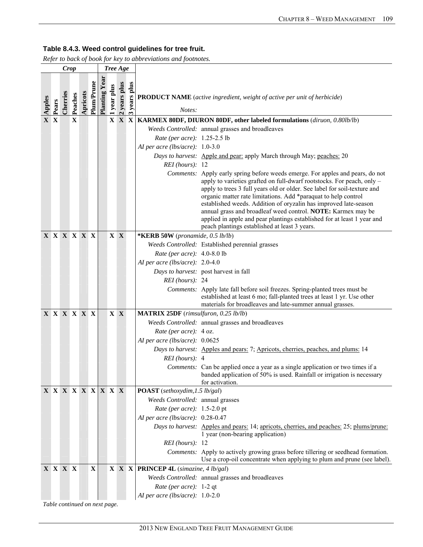*Refer to back of book for key to abbreviations and footnotes.* 

|               |       | Crop               |                        |          |             |                     | Tree Age  |            |                                    |                                              |                                                                                                                                                                                                                                                                                                                                                                                                                                                                                                                                                                        |
|---------------|-------|--------------------|------------------------|----------|-------------|---------------------|-----------|------------|------------------------------------|----------------------------------------------|------------------------------------------------------------------------------------------------------------------------------------------------------------------------------------------------------------------------------------------------------------------------------------------------------------------------------------------------------------------------------------------------------------------------------------------------------------------------------------------------------------------------------------------------------------------------|
| Apples<br>X X | Pears | Cherries           | Peaches<br>$\mathbf X$ | Apricots | Plum/Prune  | <b>Planting Yea</b> | year plus | years plus | years plus<br>$\mathbf{\tilde{c}}$ | Notes:                                       | <b>PRODUCT NAME</b> (active ingredient, weight of active per unit of herbicide)<br>$X \ X \ X$ KARMEX 80DF, DIURON 80DF, other labeled formulations (diruon, 0.80lb/lb)                                                                                                                                                                                                                                                                                                                                                                                                |
|               |       |                    |                        |          |             |                     |           |            |                                    |                                              | Weeds Controlled: annual grasses and broadleaves                                                                                                                                                                                                                                                                                                                                                                                                                                                                                                                       |
|               |       |                    |                        |          |             |                     |           |            |                                    | Rate (per acre): 1.25-2.5 lb                 |                                                                                                                                                                                                                                                                                                                                                                                                                                                                                                                                                                        |
|               |       |                    |                        |          |             |                     |           |            |                                    | AI per acre (lbs/acre): $1.0-3.0$            |                                                                                                                                                                                                                                                                                                                                                                                                                                                                                                                                                                        |
|               |       |                    |                        |          |             |                     |           |            |                                    |                                              | Days to harvest: Apple and pear: apply March through May; peaches: 20                                                                                                                                                                                                                                                                                                                                                                                                                                                                                                  |
|               |       |                    |                        |          |             |                     |           |            |                                    | $REI$ (hours): 12                            |                                                                                                                                                                                                                                                                                                                                                                                                                                                                                                                                                                        |
|               |       |                    |                        |          |             |                     |           |            |                                    |                                              | Comments: Apply early spring before weeds emerge. For apples and pears, do not<br>apply to varieties grafted on full-dwarf rootstocks. For peach, only -<br>apply to trees 3 full years old or older. See label for soil-texture and<br>organic matter rate limitations. Add *paraquat to help control<br>established weeds. Addition of oryzalin has improved late-season<br>annual grass and broadleaf weed control. NOTE: Karmex may be<br>applied in apple and pear plantings established for at least 1 year and<br>peach plantings established at least 3 years. |
|               |       | <b>X X X X X X</b> |                        |          |             |                     |           | $X \ X$    |                                    | *KERB 50W (pronamide, 0.5 lb/lb)             |                                                                                                                                                                                                                                                                                                                                                                                                                                                                                                                                                                        |
|               |       |                    |                        |          |             |                     |           |            |                                    |                                              | Weeds Controlled: Established perennial grasses                                                                                                                                                                                                                                                                                                                                                                                                                                                                                                                        |
|               |       |                    |                        |          |             |                     |           |            |                                    | Rate (per acre): 4.0-8.0 lb                  |                                                                                                                                                                                                                                                                                                                                                                                                                                                                                                                                                                        |
|               |       |                    |                        |          |             |                     |           |            |                                    | AI per acre (lbs/acre): $2.0-4.0$            |                                                                                                                                                                                                                                                                                                                                                                                                                                                                                                                                                                        |
|               |       |                    |                        |          |             |                     |           |            |                                    |                                              | Days to harvest: post harvest in fall                                                                                                                                                                                                                                                                                                                                                                                                                                                                                                                                  |
|               |       |                    |                        |          |             |                     |           |            |                                    | $REI$ (hours): 24                            |                                                                                                                                                                                                                                                                                                                                                                                                                                                                                                                                                                        |
|               |       |                    |                        |          |             |                     |           |            |                                    |                                              | Comments: Apply late fall before soil freezes. Spring-planted trees must be<br>established at least 6 mo; fall-planted trees at least 1 yr. Use other<br>materials for broadleaves and late-summer annual grasses.                                                                                                                                                                                                                                                                                                                                                     |
|               |       | X X X X X X        |                        |          |             |                     |           | $X \ X$    |                                    | <b>MATRIX 25DF</b> (rimsulfuron, 0.25 lb/lb) |                                                                                                                                                                                                                                                                                                                                                                                                                                                                                                                                                                        |
|               |       |                    |                        |          |             |                     |           |            |                                    |                                              | Weeds Controlled: annual grasses and broadleaves                                                                                                                                                                                                                                                                                                                                                                                                                                                                                                                       |
|               |       |                    |                        |          |             |                     |           |            |                                    | Rate (per acre): 4 oz.                       |                                                                                                                                                                                                                                                                                                                                                                                                                                                                                                                                                                        |
|               |       |                    |                        |          |             |                     |           |            |                                    | AI per acre (lbs/acre): 0.0625               |                                                                                                                                                                                                                                                                                                                                                                                                                                                                                                                                                                        |
|               |       |                    |                        |          |             |                     |           |            |                                    |                                              | Days to harvest: Apples and pears: 7; Apricots, cherries, peaches, and plums: 14                                                                                                                                                                                                                                                                                                                                                                                                                                                                                       |
|               |       |                    |                        |          |             |                     |           |            |                                    | $REI$ (hours): 4                             |                                                                                                                                                                                                                                                                                                                                                                                                                                                                                                                                                                        |
|               |       |                    |                        |          |             |                     |           |            |                                    |                                              | Comments: Can be applied once a year as a single application or two times if a<br>banded application of 50% is used. Rainfall or irrigation is necessary<br>for activation.                                                                                                                                                                                                                                                                                                                                                                                            |
|               |       | X X X X X X X X X  |                        |          |             |                     |           |            |                                    | POAST (sethoxydim, 1.5 lb/gal)               |                                                                                                                                                                                                                                                                                                                                                                                                                                                                                                                                                                        |
|               |       |                    |                        |          |             |                     |           |            |                                    | Weeds Controlled: annual grasses             |                                                                                                                                                                                                                                                                                                                                                                                                                                                                                                                                                                        |
|               |       |                    |                        |          |             |                     |           |            |                                    | Rate (per acre): 1.5-2.0 pt                  |                                                                                                                                                                                                                                                                                                                                                                                                                                                                                                                                                                        |
|               |       |                    |                        |          |             |                     |           |            |                                    | AI per acre (lbs/acre): 0.28-0.47            |                                                                                                                                                                                                                                                                                                                                                                                                                                                                                                                                                                        |
|               |       |                    |                        |          |             |                     |           |            |                                    |                                              | Days to harvest: Apples and pears: 14; apricots, cherries, and peaches: 25; plums/prune:<br>1 year (non-bearing application)                                                                                                                                                                                                                                                                                                                                                                                                                                           |
|               |       |                    |                        |          |             |                     |           |            |                                    | $REI$ (hours): 12                            |                                                                                                                                                                                                                                                                                                                                                                                                                                                                                                                                                                        |
|               |       |                    |                        |          |             |                     |           |            |                                    |                                              | Comments: Apply to actively growing grass before tillering or seedhead formation.<br>Use a crop-oil concentrate when applying to plum and prune (see label).                                                                                                                                                                                                                                                                                                                                                                                                           |
|               |       | X X X X            |                        |          | $\mathbf X$ |                     |           |            | X X X                              | <b>PRINCEP 4L</b> (simazine, 4 lb/gal)       |                                                                                                                                                                                                                                                                                                                                                                                                                                                                                                                                                                        |
|               |       |                    |                        |          |             |                     |           |            |                                    |                                              | Weeds Controlled: annual grasses and broadleaves                                                                                                                                                                                                                                                                                                                                                                                                                                                                                                                       |
|               |       |                    |                        |          |             |                     |           |            |                                    | Rate (per acre): 1-2 qt                      |                                                                                                                                                                                                                                                                                                                                                                                                                                                                                                                                                                        |
|               |       |                    |                        |          |             |                     |           |            |                                    | AI per acre (lbs/acre): $1.0-2.0$            |                                                                                                                                                                                                                                                                                                                                                                                                                                                                                                                                                                        |

*Table continued on next page.*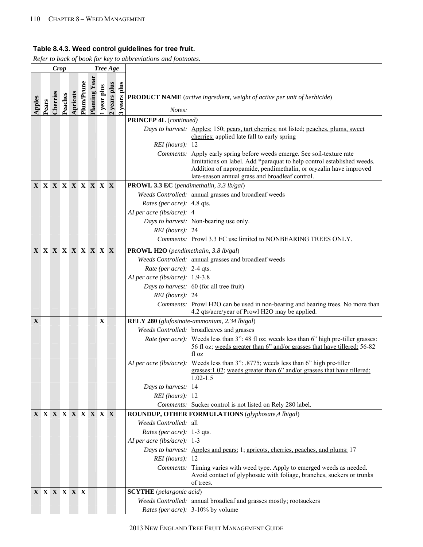| Plum/Prune<br>$\frac{2 \text{ years plus}}{3 \text{ years plus}}$<br>years plus<br>1 year plus<br><b>Planting Y</b><br>Cherries<br>Apricots<br>Peaches<br><b>PRODUCT NAME</b> (active ingredient, weight of active per unit of herbicide)<br>Apples<br>Pears<br>Notes:                                         |  |
|----------------------------------------------------------------------------------------------------------------------------------------------------------------------------------------------------------------------------------------------------------------------------------------------------------------|--|
| <b>PRINCEP 4L</b> (continued)                                                                                                                                                                                                                                                                                  |  |
| Days to harvest: Apples: 150; pears, tart cherries: not listed; peaches, plums, sweet<br>cherries: applied late fall to early spring<br>$REI$ (hours): 12<br>Comments: Apply early spring before weeds emerge. See soil-texture rate<br>limitations on label. Add *paraquat to help control established weeds. |  |
| Addition of napropamide, pendimethalin, or oryzalin have improved<br>late-season annual grass and broadleaf control.                                                                                                                                                                                           |  |
| <b>X X X X X X X X X</b><br><b>PROWL 3.3 EC</b> (pendimethalin, 3.3 lb/gal)                                                                                                                                                                                                                                    |  |
| Weeds Controlled: annual grasses and broadleaf weeds                                                                                                                                                                                                                                                           |  |
| Rates (per acre): 4.8 qts.                                                                                                                                                                                                                                                                                     |  |
| AI per acre (lbs/acre): 4                                                                                                                                                                                                                                                                                      |  |
| Days to harvest: Non-bearing use only.                                                                                                                                                                                                                                                                         |  |
| REI (hours): 24                                                                                                                                                                                                                                                                                                |  |
| Comments: Prowl 3.3 EC use limited to NONBEARING TREES ONLY.                                                                                                                                                                                                                                                   |  |
| X X X X X X X X X<br><b>PROWL H2O</b> (pendimethalin, 3.8 lb/gal)                                                                                                                                                                                                                                              |  |
| Weeds Controlled: annual grasses and broadleaf weeds                                                                                                                                                                                                                                                           |  |
| Rate (per acre): 2-4 qts.                                                                                                                                                                                                                                                                                      |  |
| AI per acre (lbs/acre): 1.9-3.8                                                                                                                                                                                                                                                                                |  |
| Days to harvest: 60 (for all tree fruit)                                                                                                                                                                                                                                                                       |  |
| REI (hours): 24                                                                                                                                                                                                                                                                                                |  |
| Comments: Prowl H2O can be used in non-bearing and bearing trees. No more than<br>4.2 qts/acre/year of Prowl H2O may be applied.                                                                                                                                                                               |  |
| $\mathbf{X}$<br>X<br>RELY 280 (glufosinate-ammonium, 2.34 lb/gal)                                                                                                                                                                                                                                              |  |
| Weeds Controlled: broadleaves and grasses                                                                                                                                                                                                                                                                      |  |
| Rate (per acre): Weeds less than 3": 48 fl oz; weeds less than 6" high pre-tiller grasses:<br>56 fl oz; weeds greater than 6" and/or grasses that have tillered: 56-82<br>fl oz                                                                                                                                |  |
| AI per acre (lbs/acre): Weeds less than 3": .8775; weeds less than 6" high pre-tiller<br>grasses: 1.02; weeds greater than 6" and/or grasses that have tillered:<br>$1.02 - 1.5$                                                                                                                               |  |
| Days to harvest: 14                                                                                                                                                                                                                                                                                            |  |
| $REI$ (hours): 12                                                                                                                                                                                                                                                                                              |  |
| Comments: Sucker control is not listed on Rely 280 label.                                                                                                                                                                                                                                                      |  |
| X X X X X X X X X<br><b>ROUNDUP, OTHER FORMULATIONS</b> (glyphosate, 4 lb/gal)                                                                                                                                                                                                                                 |  |
| Weeds Controlled: all                                                                                                                                                                                                                                                                                          |  |
| Rates (per acre): 1-3 qts.                                                                                                                                                                                                                                                                                     |  |
| AI per acre (lbs/acre): $1-3$                                                                                                                                                                                                                                                                                  |  |
| Days to harvest: Apples and pears: 1, apricots, cherries, peaches, and plums: 17                                                                                                                                                                                                                               |  |
| $REI$ (hours): 12                                                                                                                                                                                                                                                                                              |  |
| Comments: Timing varies with weed type. Apply to emerged weeds as needed.<br>Avoid contact of glyphosate with foliage, branches, suckers or trunks<br>of trees.                                                                                                                                                |  |
| <b>X X X X X X</b><br><b>SCYTHE</b> (pelargonic acid)                                                                                                                                                                                                                                                          |  |
| Weeds Controlled: annual broadleaf and grasses mostly; rootsuckers                                                                                                                                                                                                                                             |  |
| Rates (per acre): 3-10% by volume                                                                                                                                                                                                                                                                              |  |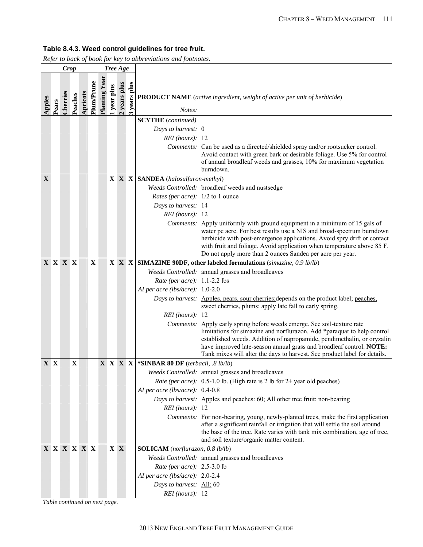*Refer to back of book for key to abbreviations and footnotes.* 

|        |             | <b>Crop</b> |             |          |             |              | Tree Age       |              |            |                                          |                                                                                                                                                                                                                                                                                                                                                                                  |
|--------|-------------|-------------|-------------|----------|-------------|--------------|----------------|--------------|------------|------------------------------------------|----------------------------------------------------------------------------------------------------------------------------------------------------------------------------------------------------------------------------------------------------------------------------------------------------------------------------------------------------------------------------------|
| Apples | Pears       | Cherries    | Peaches     | Apricots | Plum/Prune  | Planting Yea | year plus      | 2 years plus | years plus | Notes:                                   | <b>PRODUCT NAME</b> (active ingredient, weight of active per unit of herbicide)                                                                                                                                                                                                                                                                                                  |
|        |             |             |             |          |             |              |                |              |            | <b>SCYTHE</b> (continued)                |                                                                                                                                                                                                                                                                                                                                                                                  |
|        |             |             |             |          |             |              |                |              |            | Days to harvest: 0                       |                                                                                                                                                                                                                                                                                                                                                                                  |
|        |             |             |             |          |             |              |                |              |            | $REI$ (hours): 12                        |                                                                                                                                                                                                                                                                                                                                                                                  |
|        |             |             |             |          |             |              |                |              |            |                                          | Comments: Can be used as a directed/shielded spray and/or rootsucker control.<br>Avoid contact with green bark or desirable foliage. Use 5% for control<br>of annual broadleaf weeds and grasses, 10% for maximum vegetation<br>burndown.                                                                                                                                        |
| X      |             |             |             |          |             |              |                |              |            | $X \ X \ X$ SANDEA (halosulfuron-methyl) |                                                                                                                                                                                                                                                                                                                                                                                  |
|        |             |             |             |          |             |              |                |              |            |                                          | Weeds Controlled: broadleaf weeds and nustsedge                                                                                                                                                                                                                                                                                                                                  |
|        |             |             |             |          |             |              |                |              |            | <i>Rates (per acre):</i> 1/2 to 1 ounce  |                                                                                                                                                                                                                                                                                                                                                                                  |
|        |             |             |             |          |             |              |                |              |            | Days to harvest: 14                      |                                                                                                                                                                                                                                                                                                                                                                                  |
|        |             |             |             |          |             |              |                |              |            | REI (hours): 12                          |                                                                                                                                                                                                                                                                                                                                                                                  |
|        |             |             |             |          |             |              |                |              |            |                                          | Comments: Apply uniformly with ground equipment in a minimum of 15 gals of<br>water pe acre. For best results use a NIS and broad-spectrum burndown<br>herbicide with post-emergence applications. Avoid spry drift or contact<br>with fruit and foliage. Avoid application when temperature above 85 F.<br>Do not apply more than 2 ounces Sandea per acre per year.            |
|        | X X X X     |             |             |          | $\mathbf X$ |              |                |              |            |                                          | $X \ X \ X$ SIMAZINE 90DF, other labeled formulations (simazine, 0.9 lb/lb)                                                                                                                                                                                                                                                                                                      |
|        |             |             |             |          |             |              |                |              |            |                                          | Weeds Controlled: annual grasses and broadleaves                                                                                                                                                                                                                                                                                                                                 |
|        |             |             |             |          |             |              |                |              |            | Rate (per acre): 1.1-2.2 lbs             |                                                                                                                                                                                                                                                                                                                                                                                  |
|        |             |             |             |          |             |              |                |              |            | AI per acre (lbs/acre): $1.0-2.0$        |                                                                                                                                                                                                                                                                                                                                                                                  |
|        |             |             |             |          |             |              |                |              |            |                                          | Days to harvest: Apples, pears, sour cherries: depends on the product label; peaches,<br>sweet cherries, plums: apply late fall to early spring.                                                                                                                                                                                                                                 |
|        |             |             |             |          |             |              |                |              |            | REI (hours): 12                          |                                                                                                                                                                                                                                                                                                                                                                                  |
|        |             |             |             |          |             |              |                |              |            |                                          | Comments: Apply early spring before weeds emerge. See soil-texture rate<br>limitations for simazine and norflurazon. Add *paraquat to help control<br>established weeds. Addition of napropamide, pendimethalin, or oryzalin<br>have improved late-season annual grass and broadleaf control. NOTE:<br>Tank mixes will alter the days to harvest. See product label for details. |
|        | X X         |             | $\mathbf X$ |          |             |              | <b>X X X X</b> |              |            | *SINBAR 80 DF (terbacil, .8 lb/lb)       |                                                                                                                                                                                                                                                                                                                                                                                  |
|        |             |             |             |          |             |              |                |              |            |                                          | Weeds Controlled: annual grasses and broadleaves                                                                                                                                                                                                                                                                                                                                 |
|        |             |             |             |          |             |              |                |              |            |                                          | <i>Rate (per acre)</i> : 0.5-1.0 lb. (High rate is 2 lb for 2+ year old peaches)                                                                                                                                                                                                                                                                                                 |
|        |             |             |             |          |             |              |                |              |            | AI per acre (lbs/acre): $0.4-0.8$        |                                                                                                                                                                                                                                                                                                                                                                                  |
|        |             |             |             |          |             |              |                |              |            |                                          | Days to harvest: Apples and peaches: 60; All other tree fruit: non-bearing                                                                                                                                                                                                                                                                                                       |
|        |             |             |             |          |             |              |                |              |            | $REI$ (hours): 12                        |                                                                                                                                                                                                                                                                                                                                                                                  |
|        |             |             |             |          |             |              |                |              |            |                                          | Comments: For non-bearing, young, newly-planted trees, make the first application<br>after a significant rainfall or irrigation that will settle the soil around                                                                                                                                                                                                                 |
|        |             |             |             |          |             |              |                |              |            |                                          | the base of the tree. Rate varies with tank mix combination, age of tree,                                                                                                                                                                                                                                                                                                        |
|        |             |             |             |          |             |              |                |              |            |                                          | and soil texture/organic matter content.                                                                                                                                                                                                                                                                                                                                         |
|        | X X X X X X |             |             |          |             |              |                | $X \ X$      |            | SOLICAM (norflurazon, 0.8 lb/lb)         |                                                                                                                                                                                                                                                                                                                                                                                  |
|        |             |             |             |          |             |              |                |              |            |                                          | Weeds Controlled: annual grasses and broadleaves                                                                                                                                                                                                                                                                                                                                 |
|        |             |             |             |          |             |              |                |              |            | Rate (per acre): 2.5-3.0 lb              |                                                                                                                                                                                                                                                                                                                                                                                  |
|        |             |             |             |          |             |              |                |              |            | AI per acre (lbs/acre): 2.0-2.4          |                                                                                                                                                                                                                                                                                                                                                                                  |
|        |             |             |             |          |             |              |                |              |            | Days to harvest: All: 60                 |                                                                                                                                                                                                                                                                                                                                                                                  |
|        |             |             |             |          |             |              |                |              |            | REI (hours): 12                          |                                                                                                                                                                                                                                                                                                                                                                                  |

*Table continued on next page.*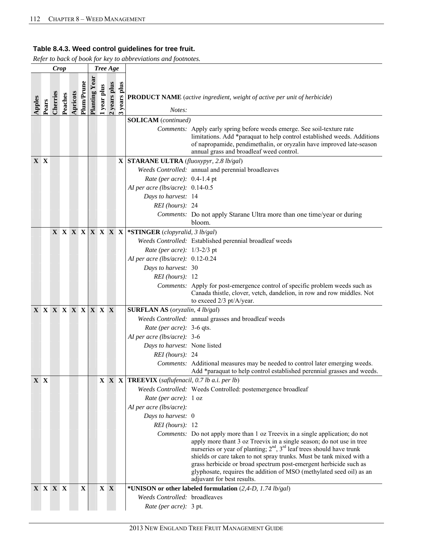|     |                   | <b>Crop</b> |                             |          |             |                      |             | Tree Age     |                      |                                                                 |                                                                                                                                                                                                                                                                                                                                                                                                                                                                                              |
|-----|-------------------|-------------|-----------------------------|----------|-------------|----------------------|-------------|--------------|----------------------|-----------------------------------------------------------------|----------------------------------------------------------------------------------------------------------------------------------------------------------------------------------------------------------------------------------------------------------------------------------------------------------------------------------------------------------------------------------------------------------------------------------------------------------------------------------------------|
|     | Apples<br>Pears   | Cherries    | Peaches                     | Apricots | Plum/Prune  | <b>Planting Year</b> | l year plus | 2 years plus | years plus<br>$\sim$ | Notes:                                                          | <b>PRODUCT NAME</b> (active ingredient, weight of active per unit of herbicide)                                                                                                                                                                                                                                                                                                                                                                                                              |
|     |                   |             |                             |          |             |                      |             |              |                      | <b>SOLICAM</b> (continued)                                      |                                                                                                                                                                                                                                                                                                                                                                                                                                                                                              |
|     |                   |             |                             |          |             |                      |             |              |                      |                                                                 | Comments: Apply early spring before weeds emerge. See soil-texture rate<br>limitations. Add *paraquat to help control established weeds. Additions<br>of napropamide, pendimethalin, or oryzalin have improved late-season<br>annual grass and broadleaf weed control.                                                                                                                                                                                                                       |
| X X |                   |             |                             |          |             |                      |             |              |                      | <b>X STARANE ULTRA</b> ( <i>fluoxypyr</i> , 2.8 <i>lb/gal</i> ) |                                                                                                                                                                                                                                                                                                                                                                                                                                                                                              |
|     |                   |             |                             |          |             |                      |             |              |                      |                                                                 | Weeds Controlled: annual and perennial broadleaves                                                                                                                                                                                                                                                                                                                                                                                                                                           |
|     |                   |             |                             |          |             |                      |             |              |                      | Rate (per acre): 0.4-1.4 pt                                     |                                                                                                                                                                                                                                                                                                                                                                                                                                                                                              |
|     |                   |             |                             |          |             |                      |             |              |                      | AI per acre (lbs/acre): 0.14-0.5                                |                                                                                                                                                                                                                                                                                                                                                                                                                                                                                              |
|     |                   |             |                             |          |             |                      |             |              |                      | Days to harvest: 14                                             |                                                                                                                                                                                                                                                                                                                                                                                                                                                                                              |
|     |                   |             |                             |          |             |                      |             |              |                      | REI (hours): 24                                                 |                                                                                                                                                                                                                                                                                                                                                                                                                                                                                              |
|     |                   |             |                             |          |             |                      |             |              |                      |                                                                 | Comments: Do not apply Starane Ultra more than one time/year or during<br>bloom.                                                                                                                                                                                                                                                                                                                                                                                                             |
|     |                   |             | $X$ $X$ $X$ $X$ $X$ $X$ $X$ |          |             |                      |             |              |                      | *STINGER (clopyralid, 3 lb/gal)                                 |                                                                                                                                                                                                                                                                                                                                                                                                                                                                                              |
|     |                   |             |                             |          |             |                      |             |              |                      |                                                                 | Weeds Controlled: Established perennial broadleaf weeds                                                                                                                                                                                                                                                                                                                                                                                                                                      |
|     |                   |             |                             |          |             |                      |             |              |                      | Rate (per acre): 1/3-2/3 pt                                     |                                                                                                                                                                                                                                                                                                                                                                                                                                                                                              |
|     |                   |             |                             |          |             |                      |             |              |                      | AI per acre (lbs/acre): $0.12-0.24$                             |                                                                                                                                                                                                                                                                                                                                                                                                                                                                                              |
|     |                   |             |                             |          |             |                      |             |              |                      | Days to harvest: 30                                             |                                                                                                                                                                                                                                                                                                                                                                                                                                                                                              |
|     |                   |             |                             |          |             |                      |             |              |                      | $REI$ (hours): 12                                               |                                                                                                                                                                                                                                                                                                                                                                                                                                                                                              |
|     |                   |             |                             |          |             |                      |             |              |                      |                                                                 | Comments: Apply for post-emergence control of specific problem weeds such as<br>Canada thistle, clover, vetch, dandelion, in row and row middles. Not<br>to exceed 2/3 pt/A/year.                                                                                                                                                                                                                                                                                                            |
|     | X X X X X X X X X |             |                             |          |             |                      |             |              |                      | <b>SURFLAN AS</b> (oryzalin, 4 lb/gal)                          |                                                                                                                                                                                                                                                                                                                                                                                                                                                                                              |
|     |                   |             |                             |          |             |                      |             |              |                      |                                                                 | Weeds Controlled: annual grasses and broadleaf weeds                                                                                                                                                                                                                                                                                                                                                                                                                                         |
|     |                   |             |                             |          |             |                      |             |              |                      | Rate (per acre): 3-6 qts.                                       |                                                                                                                                                                                                                                                                                                                                                                                                                                                                                              |
|     |                   |             |                             |          |             |                      |             |              |                      | AI per acre (lbs/acre): $3-6$                                   |                                                                                                                                                                                                                                                                                                                                                                                                                                                                                              |
|     |                   |             |                             |          |             |                      |             |              |                      | Days to harvest: None listed                                    |                                                                                                                                                                                                                                                                                                                                                                                                                                                                                              |
|     |                   |             |                             |          |             |                      |             |              |                      | REI (hours): 24                                                 |                                                                                                                                                                                                                                                                                                                                                                                                                                                                                              |
|     |                   |             |                             |          |             |                      |             |              |                      |                                                                 | Comments: Additional measures may be needed to control later emerging weeds.<br>Add *paraquat to help control established perennial grasses and weeds.                                                                                                                                                                                                                                                                                                                                       |
|     | X X               |             |                             |          |             |                      |             |              |                      | $X \ X \ X$ <b>TREEVIX</b> (saflufenacil, 0.7 lb a.i. per lb)   |                                                                                                                                                                                                                                                                                                                                                                                                                                                                                              |
|     |                   |             |                             |          |             |                      |             |              |                      |                                                                 | Weeds Controlled: Weeds Controlled: postemergence broadleaf                                                                                                                                                                                                                                                                                                                                                                                                                                  |
|     |                   |             |                             |          |             |                      |             |              |                      | Rate (per acre): 1 oz                                           |                                                                                                                                                                                                                                                                                                                                                                                                                                                                                              |
|     |                   |             |                             |          |             |                      |             |              |                      | AI per acre (lbs/acre):                                         |                                                                                                                                                                                                                                                                                                                                                                                                                                                                                              |
|     |                   |             |                             |          |             |                      |             |              |                      | Days to harvest: 0                                              |                                                                                                                                                                                                                                                                                                                                                                                                                                                                                              |
|     |                   |             |                             |          |             |                      |             |              |                      | $REI$ (hours): 12                                               |                                                                                                                                                                                                                                                                                                                                                                                                                                                                                              |
|     |                   |             |                             |          |             |                      |             |              |                      |                                                                 | <i>Comments:</i> Do not apply more than 1 oz Treevix in a single application; do not<br>apply more thant 3 oz Treevix in a single season; do not use in tree<br>nurseries or year of planting; $2nd$ , $3rd$ leaf trees should have trunk<br>shields or care taken to not spray trunks. Must be tank mixed with a<br>grass herbicide or broad spectrum post-emergent herbicide such as<br>glyphosate, requires the addition of MSO (methylated seed oil) as an<br>adjuvant for best results. |
|     | X X X X           |             |                             |          | $\mathbf X$ |                      |             | $X \ X$      |                      |                                                                 | *UNISON or other labeled formulation (2,4-D, 1.74 lb/gal)                                                                                                                                                                                                                                                                                                                                                                                                                                    |
|     |                   |             |                             |          |             |                      |             |              |                      | Weeds Controlled: broadleaves                                   |                                                                                                                                                                                                                                                                                                                                                                                                                                                                                              |
|     |                   |             |                             |          |             |                      |             |              |                      | Rate (per acre): 3 pt.                                          |                                                                                                                                                                                                                                                                                                                                                                                                                                                                                              |